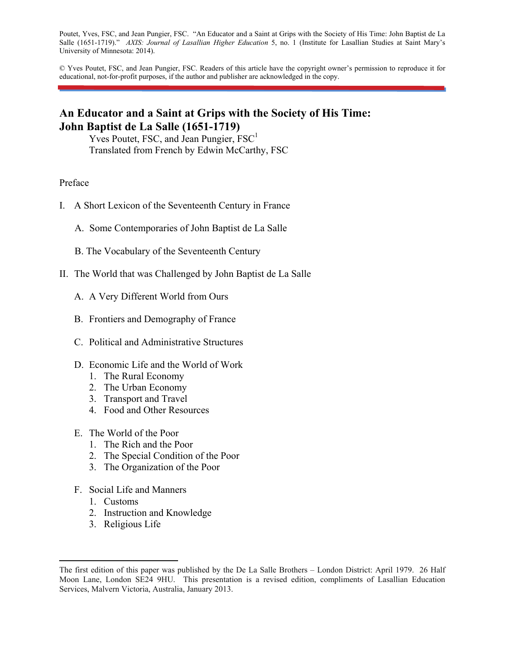Poutet, Yves, FSC, and Jean Pungier, FSC. "An Educator and a Saint at Grips with the Society of His Time: John Baptist de La Salle (1651-1719)." *AXIS: Journal of Lasallian Higher Education* 5, no. 1 (Institute for Lasallian Studies at Saint Mary's University of Minnesota: 2014).

© Yves Poutet, FSC, and Jean Pungier, FSC. Readers of this article have the copyright owner's permission to reproduce it for educational, not-for-profit purposes, if the author and publisher are acknowledged in the copy.

# **An Educator and a Saint at Grips with the Society of His Time: John Baptist de La Salle (1651-1719)**

Yves Poutet, FSC, and Jean Pungier,  $FSC<sup>1</sup>$ Translated from French by Edwin McCarthy, FSC

### Preface

- I. A Short Lexicon of the Seventeenth Century in France
	- A. Some Contemporaries of John Baptist de La Salle
	- B. The Vocabulary of the Seventeenth Century
- II. The World that was Challenged by John Baptist de La Salle
	- A. A Very Different World from Ours
	- B. Frontiers and Demography of France
	- C. Political and Administrative Structures
	- D. Economic Life and the World of Work
		- 1. The Rural Economy
		- 2. The Urban Economy
		- 3. Transport and Travel
		- 4. Food and Other Resources
	- E. The World of the Poor
		- 1. The Rich and the Poor
		- 2. The Special Condition of the Poor
		- 3. The Organization of the Poor
	- F. Social Life and Manners
		- 1. Customs
		- 2. Instruction and Knowledge
		- 3. Religious Life

The first edition of this paper was published by the De La Salle Brothers – London District: April 1979. 26 Half Moon Lane, London SE24 9HU. This presentation is a revised edition, compliments of Lasallian Education Services, Malvern Victoria, Australia, January 2013.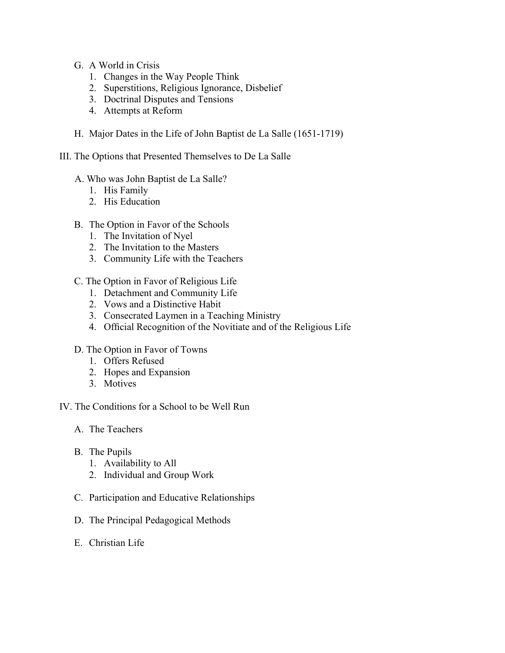- G. A World in Crisis
	- 1. Changes in the Way People Think
	- 2. Superstitions, Religious Ignorance, Disbelief
	- 3. Doctrinal Disputes and Tensions
	- 4. Attempts at Reform
- H. Major Dates in the Life of John Baptist de La Salle (1651-1719)
- III. The Options that Presented Themselves to De La Salle
	- A. Who was John Baptist de La Salle?
		- 1. His Family
		- 2. His Education
	- B. The Option in Favor of the Schools
		- 1. The Invitation of Nyel
		- 2. The Invitation to the Masters
		- 3. Community Life with the Teachers
	- C. The Option in Favor of Religious Life
		- 1. Detachment and Community Life
		- 2. Vows and a Distinctive Habit
		- 3. Consecrated Laymen in a Teaching Ministry
		- 4. Official Recognition of the Novitiate and of the Religious Life
	- D. The Option in Favor of Towns
		- 1. Offers Refused
		- 2. Hopes and Expansion
		- 3. Motives

IV. The Conditions for a School to be Well Run

- A. The Teachers
- B. The Pupils
	- 1. Availability to All
	- 2. Individual and Group Work
- C. Participation and Educative Relationships
- D. The Principal Pedagogical Methods
- E. Christian Life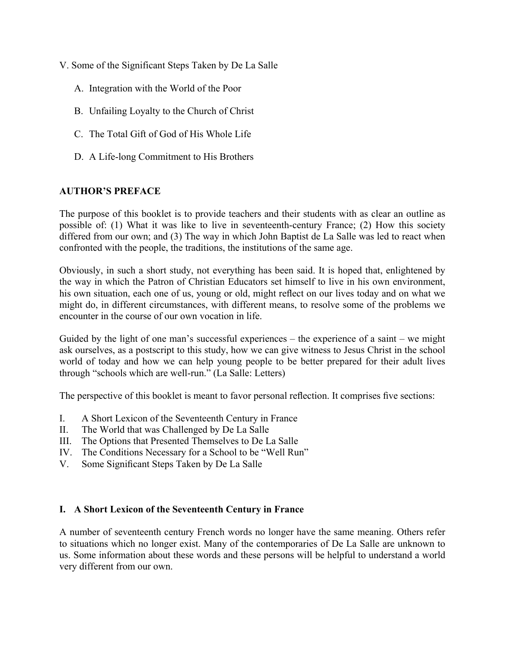- V. Some of the Significant Steps Taken by De La Salle
	- A. Integration with the World of the Poor
	- B. Unfailing Loyalty to the Church of Christ
	- C. The Total Gift of God of His Whole Life
	- D. A Life-long Commitment to His Brothers

### **AUTHOR'S PREFACE**

The purpose of this booklet is to provide teachers and their students with as clear an outline as possible of: (1) What it was like to live in seventeenth-century France; (2) How this society differed from our own; and (3) The way in which John Baptist de La Salle was led to react when confronted with the people, the traditions, the institutions of the same age.

Obviously, in such a short study, not everything has been said. It is hoped that, enlightened by the way in which the Patron of Christian Educators set himself to live in his own environment, his own situation, each one of us, young or old, might reflect on our lives today and on what we might do, in different circumstances, with different means, to resolve some of the problems we encounter in the course of our own vocation in life.

Guided by the light of one man's successful experiences – the experience of a saint – we might ask ourselves, as a postscript to this study, how we can give witness to Jesus Christ in the school world of today and how we can help young people to be better prepared for their adult lives through "schools which are well-run." (La Salle: Letters)

The perspective of this booklet is meant to favor personal reflection. It comprises five sections:

- I. A Short Lexicon of the Seventeenth Century in France
- II. The World that was Challenged by De La Salle
- III. The Options that Presented Themselves to De La Salle
- IV. The Conditions Necessary for a School to be "Well Run"
- V. Some Significant Steps Taken by De La Salle

#### **I. A Short Lexicon of the Seventeenth Century in France**

A number of seventeenth century French words no longer have the same meaning. Others refer to situations which no longer exist. Many of the contemporaries of De La Salle are unknown to us. Some information about these words and these persons will be helpful to understand a world very different from our own.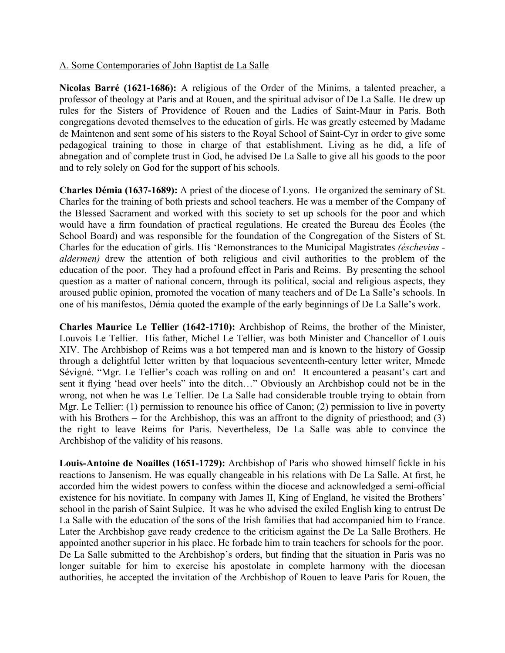### A. Some Contemporaries of John Baptist de La Salle

**Nicolas Barré (1621-1686):** A religious of the Order of the Minims, a talented preacher, a professor of theology at Paris and at Rouen, and the spiritual advisor of De La Salle. He drew up rules for the Sisters of Providence of Rouen and the Ladies of Saint-Maur in Paris. Both congregations devoted themselves to the education of girls. He was greatly esteemed by Madame de Maintenon and sent some of his sisters to the Royal School of Saint-Cyr in order to give some pedagogical training to those in charge of that establishment. Living as he did, a life of abnegation and of complete trust in God, he advised De La Salle to give all his goods to the poor and to rely solely on God for the support of his schools.

**Charles Démia (1637-1689):** A priest of the diocese of Lyons. He organized the seminary of St. Charles for the training of both priests and school teachers. He was a member of the Company of the Blessed Sacrament and worked with this society to set up schools for the poor and which would have a firm foundation of practical regulations. He created the Bureau des Écoles (the School Board) and was responsible for the foundation of the Congregation of the Sisters of St. Charles for the education of girls. His 'Remonstrances to the Municipal Magistrates *(éschevins aldermen)* drew the attention of both religious and civil authorities to the problem of the education of the poor. They had a profound effect in Paris and Reims. By presenting the school question as a matter of national concern, through its political, social and religious aspects, they aroused public opinion, promoted the vocation of many teachers and of De La Salle's schools. In one of his manifestos, Démia quoted the example of the early beginnings of De La Salle's work.

**Charles Maurice Le Tellier (1642-1710):** Archbishop of Reims, the brother of the Minister, Louvois Le Tellier. His father, Michel Le Tellier, was both Minister and Chancellor of Louis XIV. The Archbishop of Reims was a hot tempered man and is known to the history of Gossip through a delightful letter written by that loquacious seventeenth-century letter writer, Mmede Sévigné. "Mgr. Le Tellier's coach was rolling on and on! It encountered a peasant's cart and sent it flying 'head over heels" into the ditch…" Obviously an Archbishop could not be in the wrong, not when he was Le Tellier. De La Salle had considerable trouble trying to obtain from Mgr. Le Tellier: (1) permission to renounce his office of Canon; (2) permission to live in poverty with his Brothers – for the Archbishop, this was an affront to the dignity of priesthood; and (3) the right to leave Reims for Paris. Nevertheless, De La Salle was able to convince the Archbishop of the validity of his reasons.

**Louis-Antoine de Noailles (1651-1729):** Archbishop of Paris who showed himself fickle in his reactions to Jansenism. He was equally changeable in his relations with De La Salle. At first, he accorded him the widest powers to confess within the diocese and acknowledged a semi-official existence for his novitiate. In company with James II, King of England, he visited the Brothers' school in the parish of Saint Sulpice. It was he who advised the exiled English king to entrust De La Salle with the education of the sons of the Irish families that had accompanied him to France. Later the Archbishop gave ready credence to the criticism against the De La Salle Brothers. He appointed another superior in his place. He forbade him to train teachers for schools for the poor. De La Salle submitted to the Archbishop's orders, but finding that the situation in Paris was no longer suitable for him to exercise his apostolate in complete harmony with the diocesan authorities, he accepted the invitation of the Archbishop of Rouen to leave Paris for Rouen, the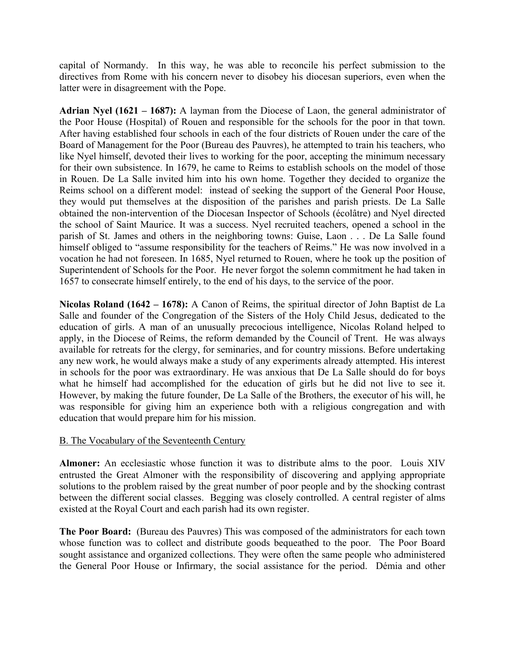capital of Normandy. In this way, he was able to reconcile his perfect submission to the directives from Rome with his concern never to disobey his diocesan superiors, even when the latter were in disagreement with the Pope.

**Adrian Nyel (1621 – 1687):** A layman from the Diocese of Laon, the general administrator of the Poor House (Hospital) of Rouen and responsible for the schools for the poor in that town. After having established four schools in each of the four districts of Rouen under the care of the Board of Management for the Poor (Bureau des Pauvres), he attempted to train his teachers, who like Nyel himself, devoted their lives to working for the poor, accepting the minimum necessary for their own subsistence. In 1679, he came to Reims to establish schools on the model of those in Rouen. De La Salle invited him into his own home. Together they decided to organize the Reims school on a different model: instead of seeking the support of the General Poor House, they would put themselves at the disposition of the parishes and parish priests. De La Salle obtained the non-intervention of the Diocesan Inspector of Schools (écolâtre) and Nyel directed the school of Saint Maurice. It was a success. Nyel recruited teachers, opened a school in the parish of St. James and others in the neighboring towns: Guise, Laon . . . De La Salle found himself obliged to "assume responsibility for the teachers of Reims." He was now involved in a vocation he had not foreseen. In 1685, Nyel returned to Rouen, where he took up the position of Superintendent of Schools for the Poor. He never forgot the solemn commitment he had taken in 1657 to consecrate himself entirely, to the end of his days, to the service of the poor.

**Nicolas Roland (1642 – 1678):** A Canon of Reims, the spiritual director of John Baptist de La Salle and founder of the Congregation of the Sisters of the Holy Child Jesus, dedicated to the education of girls. A man of an unusually precocious intelligence, Nicolas Roland helped to apply, in the Diocese of Reims, the reform demanded by the Council of Trent. He was always available for retreats for the clergy, for seminaries, and for country missions. Before undertaking any new work, he would always make a study of any experiments already attempted. His interest in schools for the poor was extraordinary. He was anxious that De La Salle should do for boys what he himself had accomplished for the education of girls but he did not live to see it. However, by making the future founder, De La Salle of the Brothers, the executor of his will, he was responsible for giving him an experience both with a religious congregation and with education that would prepare him for his mission.

### B. The Vocabulary of the Seventeenth Century

**Almoner:** An ecclesiastic whose function it was to distribute alms to the poor. Louis XIV entrusted the Great Almoner with the responsibility of discovering and applying appropriate solutions to the problem raised by the great number of poor people and by the shocking contrast between the different social classes. Begging was closely controlled. A central register of alms existed at the Royal Court and each parish had its own register.

**The Poor Board:** (Bureau des Pauvres) This was composed of the administrators for each town whose function was to collect and distribute goods bequeathed to the poor. The Poor Board sought assistance and organized collections. They were often the same people who administered the General Poor House or Infirmary, the social assistance for the period. Démia and other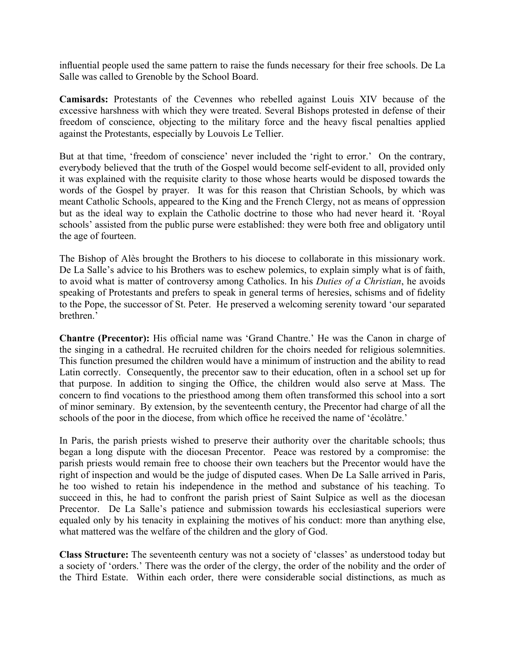influential people used the same pattern to raise the funds necessary for their free schools. De La Salle was called to Grenoble by the School Board.

**Camisards:** Protestants of the Cevennes who rebelled against Louis XIV because of the excessive harshness with which they were treated. Several Bishops protested in defense of their freedom of conscience, objecting to the military force and the heavy fiscal penalties applied against the Protestants, especially by Louvois Le Tellier.

But at that time, 'freedom of conscience' never included the 'right to error.' On the contrary, everybody believed that the truth of the Gospel would become self-evident to all, provided only it was explained with the requisite clarity to those whose hearts would be disposed towards the words of the Gospel by prayer. It was for this reason that Christian Schools, by which was meant Catholic Schools, appeared to the King and the French Clergy, not as means of oppression but as the ideal way to explain the Catholic doctrine to those who had never heard it. 'Royal schools' assisted from the public purse were established: they were both free and obligatory until the age of fourteen.

The Bishop of Alès brought the Brothers to his diocese to collaborate in this missionary work. De La Salle's advice to his Brothers was to eschew polemics, to explain simply what is of faith, to avoid what is matter of controversy among Catholics. In his *Duties of a Christian*, he avoids speaking of Protestants and prefers to speak in general terms of heresies, schisms and of fidelity to the Pope, the successor of St. Peter. He preserved a welcoming serenity toward 'our separated brethren.'

**Chantre (Precentor):** His official name was 'Grand Chantre.' He was the Canon in charge of the singing in a cathedral. He recruited children for the choirs needed for religious solemnities. This function presumed the children would have a minimum of instruction and the ability to read Latin correctly. Consequently, the precentor saw to their education, often in a school set up for that purpose. In addition to singing the Office, the children would also serve at Mass. The concern to find vocations to the priesthood among them often transformed this school into a sort of minor seminary. By extension, by the seventeenth century, the Precentor had charge of all the schools of the poor in the diocese, from which office he received the name of 'écolàtre.'

In Paris, the parish priests wished to preserve their authority over the charitable schools; thus began a long dispute with the diocesan Precentor. Peace was restored by a compromise: the parish priests would remain free to choose their own teachers but the Precentor would have the right of inspection and would be the judge of disputed cases. When De La Salle arrived in Paris, he too wished to retain his independence in the method and substance of his teaching. To succeed in this, he had to confront the parish priest of Saint Sulpice as well as the diocesan Precentor. De La Salle's patience and submission towards his ecclesiastical superiors were equaled only by his tenacity in explaining the motives of his conduct: more than anything else, what mattered was the welfare of the children and the glory of God.

**Class Structure:** The seventeenth century was not a society of 'classes' as understood today but a society of 'orders.' There was the order of the clergy, the order of the nobility and the order of the Third Estate. Within each order, there were considerable social distinctions, as much as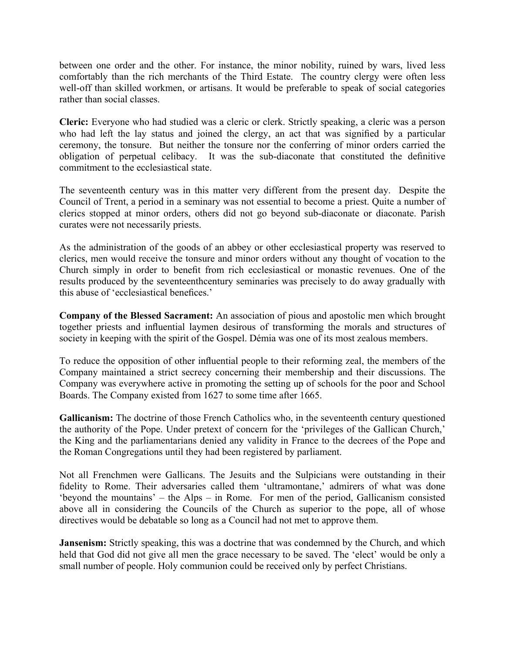between one order and the other. For instance, the minor nobility, ruined by wars, lived less comfortably than the rich merchants of the Third Estate. The country clergy were often less well-off than skilled workmen, or artisans. It would be preferable to speak of social categories rather than social classes.

**Cleric:** Everyone who had studied was a cleric or clerk. Strictly speaking, a cleric was a person who had left the lay status and joined the clergy, an act that was signified by a particular ceremony, the tonsure. But neither the tonsure nor the conferring of minor orders carried the obligation of perpetual celibacy. It was the sub-diaconate that constituted the definitive commitment to the ecclesiastical state.

The seventeenth century was in this matter very different from the present day. Despite the Council of Trent, a period in a seminary was not essential to become a priest. Quite a number of clerics stopped at minor orders, others did not go beyond sub-diaconate or diaconate. Parish curates were not necessarily priests.

As the administration of the goods of an abbey or other ecclesiastical property was reserved to clerics, men would receive the tonsure and minor orders without any thought of vocation to the Church simply in order to benefit from rich ecclesiastical or monastic revenues. One of the results produced by the seventeenthcentury seminaries was precisely to do away gradually with this abuse of 'ecclesiastical benefices.'

**Company of the Blessed Sacrament:** An association of pious and apostolic men which brought together priests and influential laymen desirous of transforming the morals and structures of society in keeping with the spirit of the Gospel. Démia was one of its most zealous members.

To reduce the opposition of other influential people to their reforming zeal, the members of the Company maintained a strict secrecy concerning their membership and their discussions. The Company was everywhere active in promoting the setting up of schools for the poor and School Boards. The Company existed from 1627 to some time after 1665.

**Gallicanism:** The doctrine of those French Catholics who, in the seventeenth century questioned the authority of the Pope. Under pretext of concern for the 'privileges of the Gallican Church,' the King and the parliamentarians denied any validity in France to the decrees of the Pope and the Roman Congregations until they had been registered by parliament.

Not all Frenchmen were Gallicans. The Jesuits and the Sulpicians were outstanding in their fidelity to Rome. Their adversaries called them 'ultramontane,' admirers of what was done 'beyond the mountains' – the Alps – in Rome. For men of the period, Gallicanism consisted above all in considering the Councils of the Church as superior to the pope, all of whose directives would be debatable so long as a Council had not met to approve them.

**Jansenism:** Strictly speaking, this was a doctrine that was condemned by the Church, and which held that God did not give all men the grace necessary to be saved. The 'elect' would be only a small number of people. Holy communion could be received only by perfect Christians.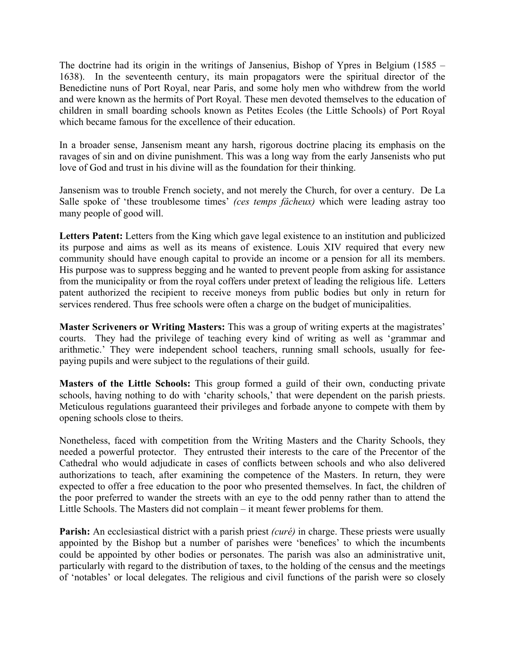The doctrine had its origin in the writings of Jansenius, Bishop of Ypres in Belgium (1585 – 1638). In the seventeenth century, its main propagators were the spiritual director of the Benedictine nuns of Port Royal, near Paris, and some holy men who withdrew from the world and were known as the hermits of Port Royal. These men devoted themselves to the education of children in small boarding schools known as Petites Ecoles (the Little Schools) of Port Royal which became famous for the excellence of their education.

In a broader sense, Jansenism meant any harsh, rigorous doctrine placing its emphasis on the ravages of sin and on divine punishment. This was a long way from the early Jansenists who put love of God and trust in his divine will as the foundation for their thinking.

Jansenism was to trouble French society, and not merely the Church, for over a century. De La Salle spoke of 'these troublesome times' *(ces temps fâcheux)* which were leading astray too many people of good will.

Letters Patent: Letters from the King which gave legal existence to an institution and publicized its purpose and aims as well as its means of existence. Louis XIV required that every new community should have enough capital to provide an income or a pension for all its members. His purpose was to suppress begging and he wanted to prevent people from asking for assistance from the municipality or from the royal coffers under pretext of leading the religious life. Letters patent authorized the recipient to receive moneys from public bodies but only in return for services rendered. Thus free schools were often a charge on the budget of municipalities.

**Master Scriveners or Writing Masters:** This was a group of writing experts at the magistrates' courts. They had the privilege of teaching every kind of writing as well as 'grammar and arithmetic.' They were independent school teachers, running small schools, usually for feepaying pupils and were subject to the regulations of their guild.

**Masters of the Little Schools:** This group formed a guild of their own, conducting private schools, having nothing to do with 'charity schools,' that were dependent on the parish priests. Meticulous regulations guaranteed their privileges and forbade anyone to compete with them by opening schools close to theirs.

Nonetheless, faced with competition from the Writing Masters and the Charity Schools, they needed a powerful protector. They entrusted their interests to the care of the Precentor of the Cathedral who would adjudicate in cases of conflicts between schools and who also delivered authorizations to teach, after examining the competence of the Masters. In return, they were expected to offer a free education to the poor who presented themselves. In fact, the children of the poor preferred to wander the streets with an eye to the odd penny rather than to attend the Little Schools. The Masters did not complain – it meant fewer problems for them.

**Parish:** An ecclesiastical district with a parish priest *(curé)* in charge. These priests were usually appointed by the Bishop but a number of parishes were 'benefices' to which the incumbents could be appointed by other bodies or personates. The parish was also an administrative unit, particularly with regard to the distribution of taxes, to the holding of the census and the meetings of 'notables' or local delegates. The religious and civil functions of the parish were so closely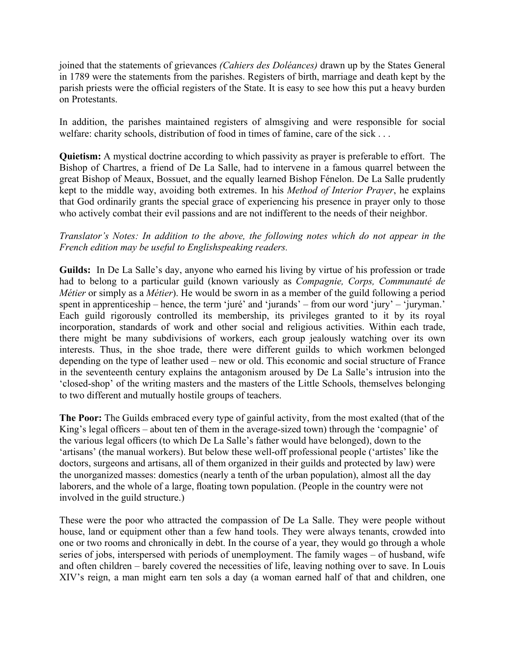joined that the statements of grievances *(Cahiers des Doléances)* drawn up by the States General in 1789 were the statements from the parishes. Registers of birth, marriage and death kept by the parish priests were the official registers of the State. It is easy to see how this put a heavy burden on Protestants.

In addition, the parishes maintained registers of almsgiving and were responsible for social welfare: charity schools, distribution of food in times of famine, care of the sick . . .

**Quietism:** A mystical doctrine according to which passivity as prayer is preferable to effort. The Bishop of Chartres, a friend of De La Salle, had to intervene in a famous quarrel between the great Bishop of Meaux, Bossuet, and the equally learned Bishop Fénelon. De La Salle prudently kept to the middle way, avoiding both extremes. In his *Method of Interior Prayer*, he explains that God ordinarily grants the special grace of experiencing his presence in prayer only to those who actively combat their evil passions and are not indifferent to the needs of their neighbor.

### *Translator's Notes: In addition to the above, the following notes which do not appear in the French edition may be useful to Englishspeaking readers.*

**Guilds:** In De La Salle's day, anyone who earned his living by virtue of his profession or trade had to belong to a particular guild (known variously as *Compagnie, Corps, Communauté de Métier* or simply as a *Métier*). He would be sworn in as a member of the guild following a period spent in apprenticeship – hence, the term 'juré' and 'jurands' – from our word 'jury' – 'juryman.' Each guild rigorously controlled its membership, its privileges granted to it by its royal incorporation, standards of work and other social and religious activities. Within each trade, there might be many subdivisions of workers, each group jealously watching over its own interests. Thus, in the shoe trade, there were different guilds to which workmen belonged depending on the type of leather used – new or old. This economic and social structure of France in the seventeenth century explains the antagonism aroused by De La Salle's intrusion into the 'closed-shop' of the writing masters and the masters of the Little Schools, themselves belonging to two different and mutually hostile groups of teachers.

**The Poor:** The Guilds embraced every type of gainful activity, from the most exalted (that of the King's legal officers – about ten of them in the average-sized town) through the 'compagnie' of the various legal officers (to which De La Salle's father would have belonged), down to the 'artisans' (the manual workers). But below these well-off professional people ('artistes' like the doctors, surgeons and artisans, all of them organized in their guilds and protected by law) were the unorganized masses: domestics (nearly a tenth of the urban population), almost all the day laborers, and the whole of a large, floating town population. (People in the country were not involved in the guild structure.)

These were the poor who attracted the compassion of De La Salle. They were people without house, land or equipment other than a few hand tools. They were always tenants, crowded into one or two rooms and chronically in debt. In the course of a year, they would go through a whole series of jobs, interspersed with periods of unemployment. The family wages – of husband, wife and often children – barely covered the necessities of life, leaving nothing over to save. In Louis XIV's reign, a man might earn ten sols a day (a woman earned half of that and children, one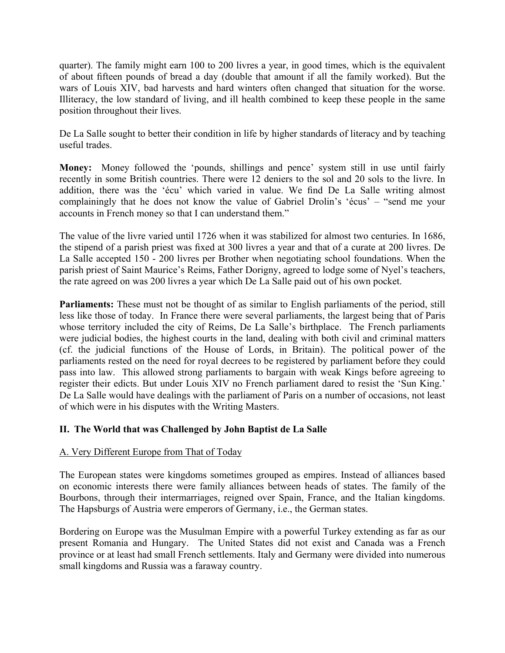quarter). The family might earn 100 to 200 livres a year, in good times, which is the equivalent of about fifteen pounds of bread a day (double that amount if all the family worked). But the wars of Louis XIV, bad harvests and hard winters often changed that situation for the worse. Illiteracy, the low standard of living, and ill health combined to keep these people in the same position throughout their lives.

De La Salle sought to better their condition in life by higher standards of literacy and by teaching useful trades.

**Money:** Money followed the 'pounds, shillings and pence' system still in use until fairly recently in some British countries. There were 12 deniers to the sol and 20 sols to the livre. In addition, there was the 'écu' which varied in value. We find De La Salle writing almost complainingly that he does not know the value of Gabriel Drolin's 'écus' – "send me your accounts in French money so that I can understand them."

The value of the livre varied until 1726 when it was stabilized for almost two centuries. In 1686, the stipend of a parish priest was fixed at 300 livres a year and that of a curate at 200 livres. De La Salle accepted 150 - 200 livres per Brother when negotiating school foundations. When the parish priest of Saint Maurice's Reims, Father Dorigny, agreed to lodge some of Nyel's teachers, the rate agreed on was 200 livres a year which De La Salle paid out of his own pocket.

**Parliaments:** These must not be thought of as similar to English parliaments of the period, still less like those of today. In France there were several parliaments, the largest being that of Paris whose territory included the city of Reims, De La Salle's birthplace. The French parliaments were judicial bodies, the highest courts in the land, dealing with both civil and criminal matters (cf. the judicial functions of the House of Lords, in Britain). The political power of the parliaments rested on the need for royal decrees to be registered by parliament before they could pass into law. This allowed strong parliaments to bargain with weak Kings before agreeing to register their edicts. But under Louis XIV no French parliament dared to resist the 'Sun King.' De La Salle would have dealings with the parliament of Paris on a number of occasions, not least of which were in his disputes with the Writing Masters.

### **II. The World that was Challenged by John Baptist de La Salle**

### A. Very Different Europe from That of Today

The European states were kingdoms sometimes grouped as empires. Instead of alliances based on economic interests there were family alliances between heads of states. The family of the Bourbons, through their intermarriages, reigned over Spain, France, and the Italian kingdoms. The Hapsburgs of Austria were emperors of Germany, i.e., the German states.

Bordering on Europe was the Musulman Empire with a powerful Turkey extending as far as our present Romania and Hungary. The United States did not exist and Canada was a French province or at least had small French settlements. Italy and Germany were divided into numerous small kingdoms and Russia was a faraway country.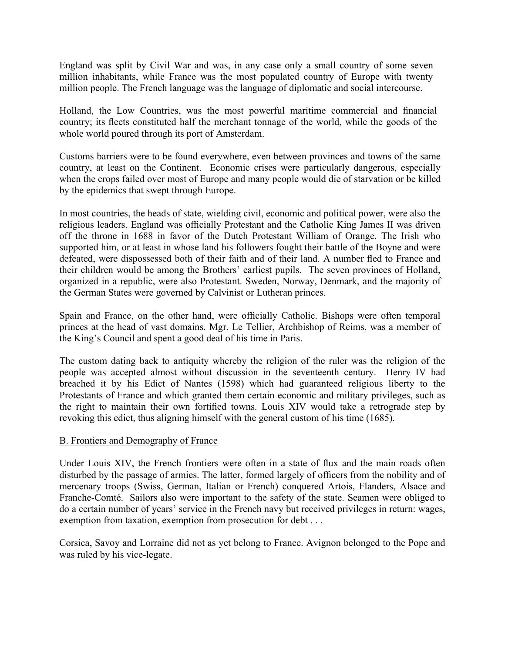England was split by Civil War and was, in any case only a small country of some seven million inhabitants, while France was the most populated country of Europe with twenty million people. The French language was the language of diplomatic and social intercourse.

Holland, the Low Countries, was the most powerful maritime commercial and financial country; its fleets constituted half the merchant tonnage of the world, while the goods of the whole world poured through its port of Amsterdam.

Customs barriers were to be found everywhere, even between provinces and towns of the same country, at least on the Continent. Economic crises were particularly dangerous, especially when the crops failed over most of Europe and many people would die of starvation or be killed by the epidemics that swept through Europe.

In most countries, the heads of state, wielding civil, economic and political power, were also the religious leaders. England was officially Protestant and the Catholic King James II was driven off the throne in 1688 in favor of the Dutch Protestant William of Orange. The Irish who supported him, or at least in whose land his followers fought their battle of the Boyne and were defeated, were dispossessed both of their faith and of their land. A number fled to France and their children would be among the Brothers' earliest pupils. The seven provinces of Holland, organized in a republic, were also Protestant. Sweden, Norway, Denmark, and the majority of the German States were governed by Calvinist or Lutheran princes.

Spain and France, on the other hand, were officially Catholic. Bishops were often temporal princes at the head of vast domains. Mgr. Le Tellier, Archbishop of Reims, was a member of the King's Council and spent a good deal of his time in Paris.

The custom dating back to antiquity whereby the religion of the ruler was the religion of the people was accepted almost without discussion in the seventeenth century. Henry IV had breached it by his Edict of Nantes (1598) which had guaranteed religious liberty to the Protestants of France and which granted them certain economic and military privileges, such as the right to maintain their own fortified towns. Louis XIV would take a retrograde step by revoking this edict, thus aligning himself with the general custom of his time (1685).

#### B. Frontiers and Demography of France

Under Louis XIV, the French frontiers were often in a state of flux and the main roads often disturbed by the passage of armies. The latter, formed largely of officers from the nobility and of mercenary troops (Swiss, German, Italian or French) conquered Artois, Flanders, Alsace and Franche-Comté. Sailors also were important to the safety of the state. Seamen were obliged to do a certain number of years' service in the French navy but received privileges in return: wages, exemption from taxation, exemption from prosecution for debt . . .

Corsica, Savoy and Lorraine did not as yet belong to France. Avignon belonged to the Pope and was ruled by his vice-legate.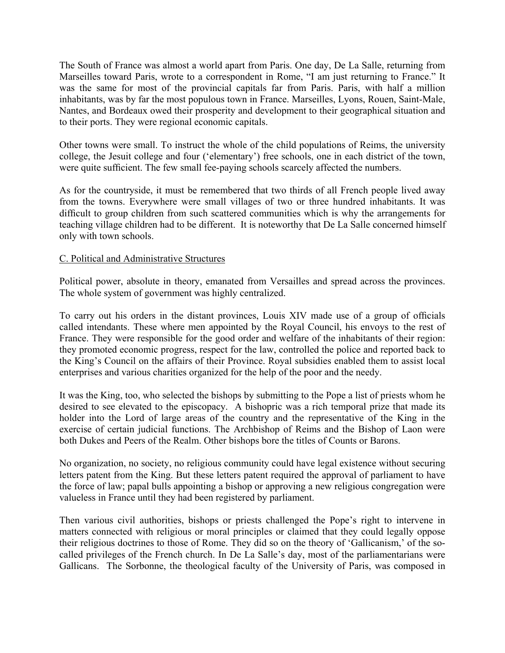The South of France was almost a world apart from Paris. One day, De La Salle, returning from Marseilles toward Paris, wrote to a correspondent in Rome, "I am just returning to France." It was the same for most of the provincial capitals far from Paris. Paris, with half a million inhabitants, was by far the most populous town in France. Marseilles, Lyons, Rouen, Saint-Male, Nantes, and Bordeaux owed their prosperity and development to their geographical situation and to their ports. They were regional economic capitals.

Other towns were small. To instruct the whole of the child populations of Reims, the university college, the Jesuit college and four ('elementary') free schools, one in each district of the town, were quite sufficient. The few small fee-paying schools scarcely affected the numbers.

As for the countryside, it must be remembered that two thirds of all French people lived away from the towns. Everywhere were small villages of two or three hundred inhabitants. It was difficult to group children from such scattered communities which is why the arrangements for teaching village children had to be different. It is noteworthy that De La Salle concerned himself only with town schools.

### C. Political and Administrative Structures

Political power, absolute in theory, emanated from Versailles and spread across the provinces. The whole system of government was highly centralized.

To carry out his orders in the distant provinces, Louis XIV made use of a group of officials called intendants. These where men appointed by the Royal Council, his envoys to the rest of France. They were responsible for the good order and welfare of the inhabitants of their region: they promoted economic progress, respect for the law, controlled the police and reported back to the King's Council on the affairs of their Province. Royal subsidies enabled them to assist local enterprises and various charities organized for the help of the poor and the needy.

It was the King, too, who selected the bishops by submitting to the Pope a list of priests whom he desired to see elevated to the episcopacy. A bishopric was a rich temporal prize that made its holder into the Lord of large areas of the country and the representative of the King in the exercise of certain judicial functions. The Archbishop of Reims and the Bishop of Laon were both Dukes and Peers of the Realm. Other bishops bore the titles of Counts or Barons.

No organization, no society, no religious community could have legal existence without securing letters patent from the King. But these letters patent required the approval of parliament to have the force of law; papal bulls appointing a bishop or approving a new religious congregation were valueless in France until they had been registered by parliament.

Then various civil authorities, bishops or priests challenged the Pope's right to intervene in matters connected with religious or moral principles or claimed that they could legally oppose their religious doctrines to those of Rome. They did so on the theory of 'Gallicanism,' of the socalled privileges of the French church. In De La Salle's day, most of the parliamentarians were Gallicans. The Sorbonne, the theological faculty of the University of Paris, was composed in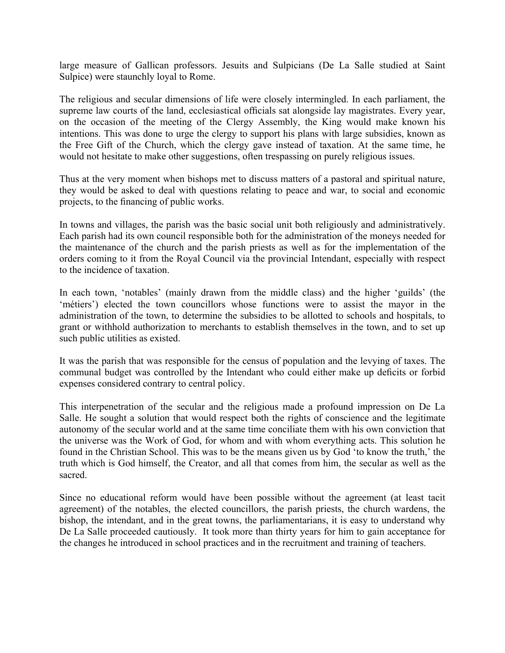large measure of Gallican professors. Jesuits and Sulpicians (De La Salle studied at Saint Sulpice) were staunchly loyal to Rome.

The religious and secular dimensions of life were closely intermingled. In each parliament, the supreme law courts of the land, ecclesiastical officials sat alongside lay magistrates. Every year, on the occasion of the meeting of the Clergy Assembly, the King would make known his intentions. This was done to urge the clergy to support his plans with large subsidies, known as the Free Gift of the Church, which the clergy gave instead of taxation. At the same time, he would not hesitate to make other suggestions, often trespassing on purely religious issues.

Thus at the very moment when bishops met to discuss matters of a pastoral and spiritual nature, they would be asked to deal with questions relating to peace and war, to social and economic projects, to the financing of public works.

In towns and villages, the parish was the basic social unit both religiously and administratively. Each parish had its own council responsible both for the administration of the moneys needed for the maintenance of the church and the parish priests as well as for the implementation of the orders coming to it from the Royal Council via the provincial Intendant, especially with respect to the incidence of taxation.

In each town, 'notables' (mainly drawn from the middle class) and the higher 'guilds' (the 'métiers') elected the town councillors whose functions were to assist the mayor in the administration of the town, to determine the subsidies to be allotted to schools and hospitals, to grant or withhold authorization to merchants to establish themselves in the town, and to set up such public utilities as existed.

It was the parish that was responsible for the census of population and the levying of taxes. The communal budget was controlled by the Intendant who could either make up deficits or forbid expenses considered contrary to central policy.

This interpenetration of the secular and the religious made a profound impression on De La Salle. He sought a solution that would respect both the rights of conscience and the legitimate autonomy of the secular world and at the same time conciliate them with his own conviction that the universe was the Work of God, for whom and with whom everything acts. This solution he found in the Christian School. This was to be the means given us by God 'to know the truth,' the truth which is God himself, the Creator, and all that comes from him, the secular as well as the sacred.

Since no educational reform would have been possible without the agreement (at least tacit agreement) of the notables, the elected councillors, the parish priests, the church wardens, the bishop, the intendant, and in the great towns, the parliamentarians, it is easy to understand why De La Salle proceeded cautiously. It took more than thirty years for him to gain acceptance for the changes he introduced in school practices and in the recruitment and training of teachers.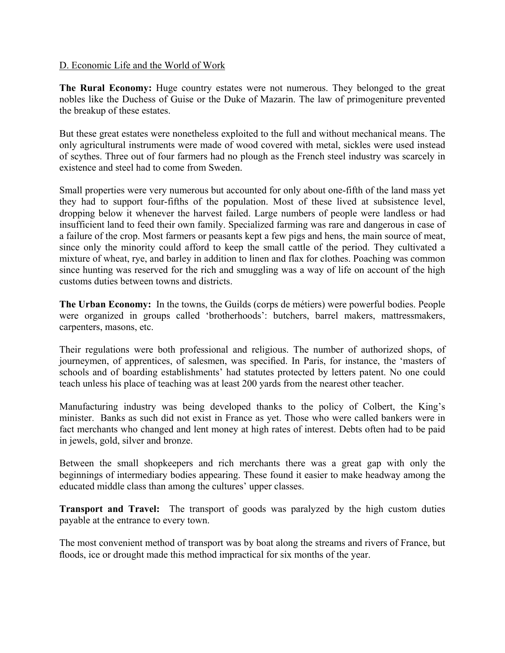#### D. Economic Life and the World of Work

The Rural Economy: Huge country estates were not numerous. They belonged to the great nobles like the Duchess of Guise or the Duke of Mazarin. The law of primogeniture prevented the breakup of these estates.

But these great estates were nonetheless exploited to the full and without mechanical means. The only agricultural instruments were made of wood covered with metal, sickles were used instead of scythes. Three out of four farmers had no plough as the French steel industry was scarcely in existence and steel had to come from Sweden.

Small properties were very numerous but accounted for only about one-fifth of the land mass yet they had to support four-fifths of the population. Most of these lived at subsistence level, dropping below it whenever the harvest failed. Large numbers of people were landless or had insufficient land to feed their own family. Specialized farming was rare and dangerous in case of a failure of the crop. Most farmers or peasants kept a few pigs and hens, the main source of meat, since only the minority could afford to keep the small cattle of the period. They cultivated a mixture of wheat, rye, and barley in addition to linen and flax for clothes. Poaching was common since hunting was reserved for the rich and smuggling was a way of life on account of the high customs duties between towns and districts.

**The Urban Economy:** In the towns, the Guilds (corps de métiers) were powerful bodies. People were organized in groups called 'brotherhoods': butchers, barrel makers, mattressmakers, carpenters, masons, etc.

Their regulations were both professional and religious. The number of authorized shops, of journeymen, of apprentices, of salesmen, was specified. In Paris, for instance, the 'masters of schools and of boarding establishments' had statutes protected by letters patent. No one could teach unless his place of teaching was at least 200 yards from the nearest other teacher.

Manufacturing industry was being developed thanks to the policy of Colbert, the King's minister. Banks as such did not exist in France as yet. Those who were called bankers were in fact merchants who changed and lent money at high rates of interest. Debts often had to be paid in jewels, gold, silver and bronze.

Between the small shopkeepers and rich merchants there was a great gap with only the beginnings of intermediary bodies appearing. These found it easier to make headway among the educated middle class than among the cultures' upper classes.

**Transport and Travel:** The transport of goods was paralyzed by the high custom duties payable at the entrance to every town.

The most convenient method of transport was by boat along the streams and rivers of France, but floods, ice or drought made this method impractical for six months of the year.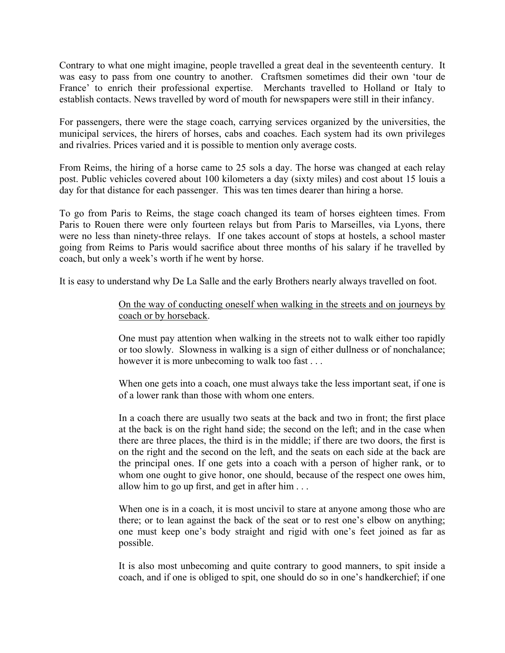Contrary to what one might imagine, people travelled a great deal in the seventeenth century. It was easy to pass from one country to another. Craftsmen sometimes did their own 'tour de France' to enrich their professional expertise. Merchants travelled to Holland or Italy to establish contacts. News travelled by word of mouth for newspapers were still in their infancy.

For passengers, there were the stage coach, carrying services organized by the universities, the municipal services, the hirers of horses, cabs and coaches. Each system had its own privileges and rivalries. Prices varied and it is possible to mention only average costs.

From Reims, the hiring of a horse came to 25 sols a day. The horse was changed at each relay post. Public vehicles covered about 100 kilometers a day (sixty miles) and cost about 15 louis a day for that distance for each passenger. This was ten times dearer than hiring a horse.

To go from Paris to Reims, the stage coach changed its team of horses eighteen times. From Paris to Rouen there were only fourteen relays but from Paris to Marseilles, via Lyons, there were no less than ninety-three relays. If one takes account of stops at hostels, a school master going from Reims to Paris would sacrifice about three months of his salary if he travelled by coach, but only a week's worth if he went by horse.

It is easy to understand why De La Salle and the early Brothers nearly always travelled on foot.

On the way of conducting oneself when walking in the streets and on journeys by coach or by horseback.

One must pay attention when walking in the streets not to walk either too rapidly or too slowly. Slowness in walking is a sign of either dullness or of nonchalance; however it is more unbecoming to walk too fast . . .

When one gets into a coach, one must always take the less important seat, if one is of a lower rank than those with whom one enters.

In a coach there are usually two seats at the back and two in front; the first place at the back is on the right hand side; the second on the left; and in the case when there are three places, the third is in the middle; if there are two doors, the first is on the right and the second on the left, and the seats on each side at the back are the principal ones. If one gets into a coach with a person of higher rank, or to whom one ought to give honor, one should, because of the respect one owes him, allow him to go up first, and get in after him . . .

When one is in a coach, it is most uncivil to stare at anyone among those who are there; or to lean against the back of the seat or to rest one's elbow on anything; one must keep one's body straight and rigid with one's feet joined as far as possible.

It is also most unbecoming and quite contrary to good manners, to spit inside a coach, and if one is obliged to spit, one should do so in one's handkerchief; if one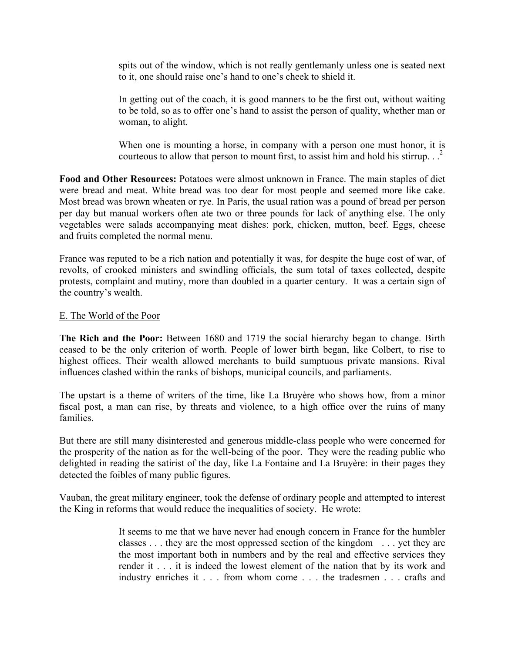spits out of the window, which is not really gentlemanly unless one is seated next to it, one should raise one's hand to one's cheek to shield it.

In getting out of the coach, it is good manners to be the first out, without waiting to be told, so as to offer one's hand to assist the person of quality, whether man or woman, to alight.

When one is mounting a horse, in company with a person one must honor, it is courteous to allow that person to mount first, to assist him and hold his stirrup.  $\cdot$ .<sup>2</sup>

**Food and Other Resources:** Potatoes were almost unknown in France. The main staples of diet were bread and meat. White bread was too dear for most people and seemed more like cake. Most bread was brown wheaten or rye. In Paris, the usual ration was a pound of bread per person per day but manual workers often ate two or three pounds for lack of anything else. The only vegetables were salads accompanying meat dishes: pork, chicken, mutton, beef. Eggs, cheese and fruits completed the normal menu.

France was reputed to be a rich nation and potentially it was, for despite the huge cost of war, of revolts, of crooked ministers and swindling officials, the sum total of taxes collected, despite protests, complaint and mutiny, more than doubled in a quarter century. It was a certain sign of the country's wealth.

#### E. The World of the Poor

**The Rich and the Poor:** Between 1680 and 1719 the social hierarchy began to change. Birth ceased to be the only criterion of worth. People of lower birth began, like Colbert, to rise to highest offices. Their wealth allowed merchants to build sumptuous private mansions. Rival influences clashed within the ranks of bishops, municipal councils, and parliaments.

The upstart is a theme of writers of the time, like La Bruyère who shows how, from a minor fiscal post, a man can rise, by threats and violence, to a high office over the ruins of many families.

But there are still many disinterested and generous middle-class people who were concerned for the prosperity of the nation as for the well-being of the poor. They were the reading public who delighted in reading the satirist of the day, like La Fontaine and La Bruyère: in their pages they detected the foibles of many public figures.

Vauban, the great military engineer, took the defense of ordinary people and attempted to interest the King in reforms that would reduce the inequalities of society. He wrote:

> It seems to me that we have never had enough concern in France for the humbler classes . . . they are the most oppressed section of the kingdom . . . yet they are the most important both in numbers and by the real and effective services they render it . . . it is indeed the lowest element of the nation that by its work and industry enriches it . . . from whom come . . . the tradesmen . . . crafts and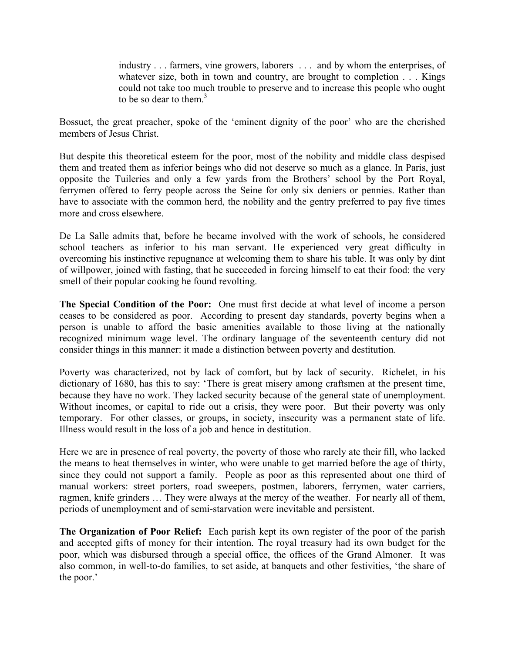industry . . . farmers, vine growers, laborers . . . and by whom the enterprises, of whatever size, both in town and country, are brought to completion . . . Kings could not take too much trouble to preserve and to increase this people who ought to be so dear to them. $3$ 

Bossuet, the great preacher, spoke of the 'eminent dignity of the poor' who are the cherished members of Jesus Christ.

But despite this theoretical esteem for the poor, most of the nobility and middle class despised them and treated them as inferior beings who did not deserve so much as a glance. In Paris, just opposite the Tuileries and only a few yards from the Brothers' school by the Port Royal, ferrymen offered to ferry people across the Seine for only six deniers or pennies. Rather than have to associate with the common herd, the nobility and the gentry preferred to pay five times more and cross elsewhere.

De La Salle admits that, before he became involved with the work of schools, he considered school teachers as inferior to his man servant. He experienced very great difficulty in overcoming his instinctive repugnance at welcoming them to share his table. It was only by dint of willpower, joined with fasting, that he succeeded in forcing himself to eat their food: the very smell of their popular cooking he found revolting.

**The Special Condition of the Poor:** One must first decide at what level of income a person ceases to be considered as poor. According to present day standards, poverty begins when a person is unable to afford the basic amenities available to those living at the nationally recognized minimum wage level. The ordinary language of the seventeenth century did not consider things in this manner: it made a distinction between poverty and destitution.

Poverty was characterized, not by lack of comfort, but by lack of security. Richelet, in his dictionary of 1680, has this to say: 'There is great misery among craftsmen at the present time, because they have no work. They lacked security because of the general state of unemployment. Without incomes, or capital to ride out a crisis, they were poor. But their poverty was only temporary. For other classes, or groups, in society, insecurity was a permanent state of life. Illness would result in the loss of a job and hence in destitution.

Here we are in presence of real poverty, the poverty of those who rarely ate their fill, who lacked the means to heat themselves in winter, who were unable to get married before the age of thirty, since they could not support a family. People as poor as this represented about one third of manual workers: street porters, road sweepers, postmen, laborers, ferrymen, water carriers, ragmen, knife grinders … They were always at the mercy of the weather. For nearly all of them, periods of unemployment and of semi-starvation were inevitable and persistent.

**The Organization of Poor Relief:** Each parish kept its own register of the poor of the parish and accepted gifts of money for their intention. The royal treasury had its own budget for the poor, which was disbursed through a special office, the offices of the Grand Almoner. It was also common, in well-to-do families, to set aside, at banquets and other festivities, 'the share of the poor.'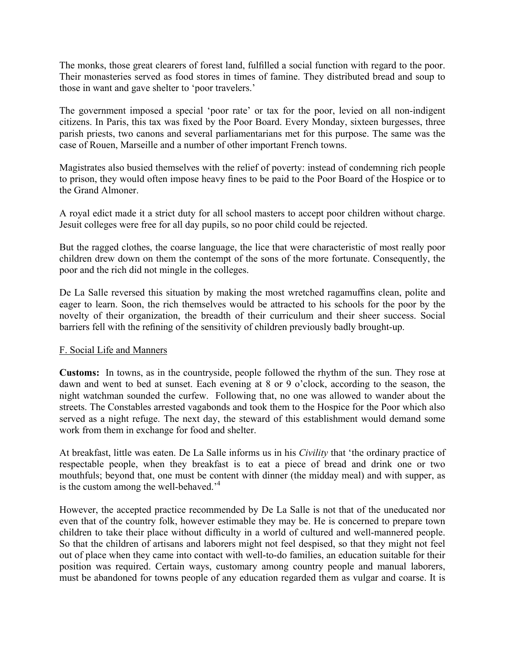The monks, those great clearers of forest land, fulfilled a social function with regard to the poor. Their monasteries served as food stores in times of famine. They distributed bread and soup to those in want and gave shelter to 'poor travelers.'

The government imposed a special 'poor rate' or tax for the poor, levied on all non-indigent citizens. In Paris, this tax was fixed by the Poor Board. Every Monday, sixteen burgesses, three parish priests, two canons and several parliamentarians met for this purpose. The same was the case of Rouen, Marseille and a number of other important French towns.

Magistrates also busied themselves with the relief of poverty: instead of condemning rich people to prison, they would often impose heavy fines to be paid to the Poor Board of the Hospice or to the Grand Almoner.

A royal edict made it a strict duty for all school masters to accept poor children without charge. Jesuit colleges were free for all day pupils, so no poor child could be rejected.

But the ragged clothes, the coarse language, the lice that were characteristic of most really poor children drew down on them the contempt of the sons of the more fortunate. Consequently, the poor and the rich did not mingle in the colleges.

De La Salle reversed this situation by making the most wretched ragamuffins clean, polite and eager to learn. Soon, the rich themselves would be attracted to his schools for the poor by the novelty of their organization, the breadth of their curriculum and their sheer success. Social barriers fell with the refining of the sensitivity of children previously badly brought-up.

#### F. Social Life and Manners

**Customs:** In towns, as in the countryside, people followed the rhythm of the sun. They rose at dawn and went to bed at sunset. Each evening at 8 or 9 o'clock, according to the season, the night watchman sounded the curfew. Following that, no one was allowed to wander about the streets. The Constables arrested vagabonds and took them to the Hospice for the Poor which also served as a night refuge. The next day, the steward of this establishment would demand some work from them in exchange for food and shelter.

At breakfast, little was eaten. De La Salle informs us in his *Civility* that 'the ordinary practice of respectable people, when they breakfast is to eat a piece of bread and drink one or two mouthfuls; beyond that, one must be content with dinner (the midday meal) and with supper, as is the custom among the well-behaved.<sup>4</sup>

However, the accepted practice recommended by De La Salle is not that of the uneducated nor even that of the country folk, however estimable they may be. He is concerned to prepare town children to take their place without difficulty in a world of cultured and well-mannered people. So that the children of artisans and laborers might not feel despised, so that they might not feel out of place when they came into contact with well-to-do families, an education suitable for their position was required. Certain ways, customary among country people and manual laborers, must be abandoned for towns people of any education regarded them as vulgar and coarse. It is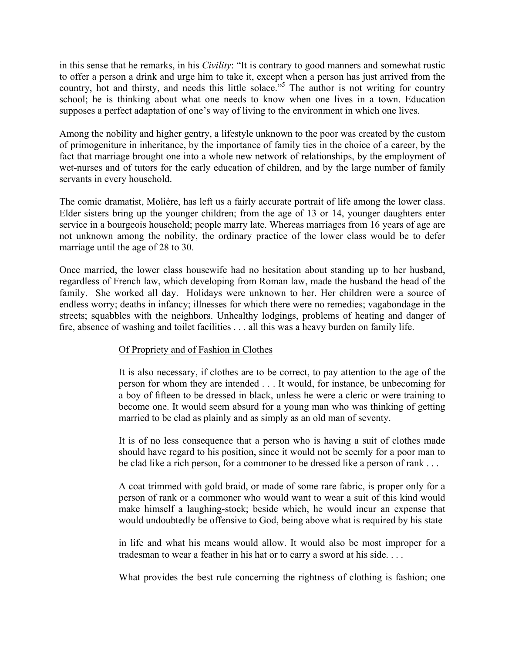in this sense that he remarks, in his *Civility*: "It is contrary to good manners and somewhat rustic to offer a person a drink and urge him to take it, except when a person has just arrived from the country, hot and thirsty, and needs this little solace.<sup>55</sup> The author is not writing for country school; he is thinking about what one needs to know when one lives in a town. Education supposes a perfect adaptation of one's way of living to the environment in which one lives.

Among the nobility and higher gentry, a lifestyle unknown to the poor was created by the custom of primogeniture in inheritance, by the importance of family ties in the choice of a career, by the fact that marriage brought one into a whole new network of relationships, by the employment of wet-nurses and of tutors for the early education of children, and by the large number of family servants in every household.

The comic dramatist, Molière, has left us a fairly accurate portrait of life among the lower class. Elder sisters bring up the younger children; from the age of 13 or 14, younger daughters enter service in a bourgeois household; people marry late. Whereas marriages from 16 years of age are not unknown among the nobility, the ordinary practice of the lower class would be to defer marriage until the age of 28 to 30.

Once married, the lower class housewife had no hesitation about standing up to her husband, regardless of French law, which developing from Roman law, made the husband the head of the family. She worked all day. Holidays were unknown to her. Her children were a source of endless worry; deaths in infancy; illnesses for which there were no remedies; vagabondage in the streets; squabbles with the neighbors. Unhealthy lodgings, problems of heating and danger of fire, absence of washing and toilet facilities . . . all this was a heavy burden on family life.

### Of Propriety and of Fashion in Clothes

It is also necessary, if clothes are to be correct, to pay attention to the age of the person for whom they are intended . . . It would, for instance, be unbecoming for a boy of fifteen to be dressed in black, unless he were a cleric or were training to become one. It would seem absurd for a young man who was thinking of getting married to be clad as plainly and as simply as an old man of seventy.

It is of no less consequence that a person who is having a suit of clothes made should have regard to his position, since it would not be seemly for a poor man to be clad like a rich person, for a commoner to be dressed like a person of rank . . .

A coat trimmed with gold braid, or made of some rare fabric, is proper only for a person of rank or a commoner who would want to wear a suit of this kind would make himself a laughing-stock; beside which, he would incur an expense that would undoubtedly be offensive to God, being above what is required by his state

in life and what his means would allow. It would also be most improper for a tradesman to wear a feather in his hat or to carry a sword at his side. . . .

What provides the best rule concerning the rightness of clothing is fashion; one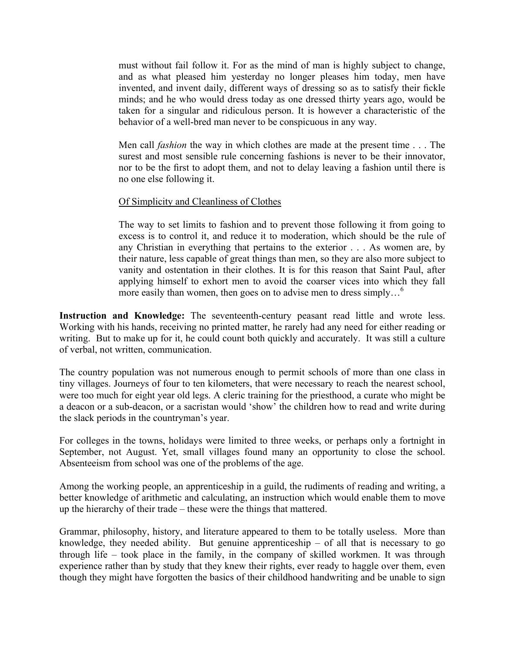must without fail follow it. For as the mind of man is highly subject to change, and as what pleased him yesterday no longer pleases him today, men have invented, and invent daily, different ways of dressing so as to satisfy their fickle minds; and he who would dress today as one dressed thirty years ago, would be taken for a singular and ridiculous person. It is however a characteristic of the behavior of a well-bred man never to be conspicuous in any way.

Men call *fashion* the way in which clothes are made at the present time . . . The surest and most sensible rule concerning fashions is never to be their innovator, nor to be the first to adopt them, and not to delay leaving a fashion until there is no one else following it.

#### Of Simplicity and Cleanliness of Clothes

The way to set limits to fashion and to prevent those following it from going to excess is to control it, and reduce it to moderation, which should be the rule of any Christian in everything that pertains to the exterior . . . As women are, by their nature, less capable of great things than men, so they are also more subject to vanity and ostentation in their clothes. It is for this reason that Saint Paul, after applying himself to exhort men to avoid the coarser vices into which they fall more easily than women, then goes on to advise men to dress simply...<sup>6</sup>

**Instruction and Knowledge:** The seventeenth-century peasant read little and wrote less. Working with his hands, receiving no printed matter, he rarely had any need for either reading or writing. But to make up for it, he could count both quickly and accurately. It was still a culture of verbal, not written, communication.

The country population was not numerous enough to permit schools of more than one class in tiny villages. Journeys of four to ten kilometers, that were necessary to reach the nearest school, were too much for eight year old legs. A cleric training for the priesthood, a curate who might be a deacon or a sub-deacon, or a sacristan would 'show' the children how to read and write during the slack periods in the countryman's year.

For colleges in the towns, holidays were limited to three weeks, or perhaps only a fortnight in September, not August. Yet, small villages found many an opportunity to close the school. Absenteeism from school was one of the problems of the age.

Among the working people, an apprenticeship in a guild, the rudiments of reading and writing, a better knowledge of arithmetic and calculating, an instruction which would enable them to move up the hierarchy of their trade – these were the things that mattered.

Grammar, philosophy, history, and literature appeared to them to be totally useless. More than knowledge, they needed ability. But genuine apprenticeship  $-$  of all that is necessary to go through life – took place in the family, in the company of skilled workmen. It was through experience rather than by study that they knew their rights, ever ready to haggle over them, even though they might have forgotten the basics of their childhood handwriting and be unable to sign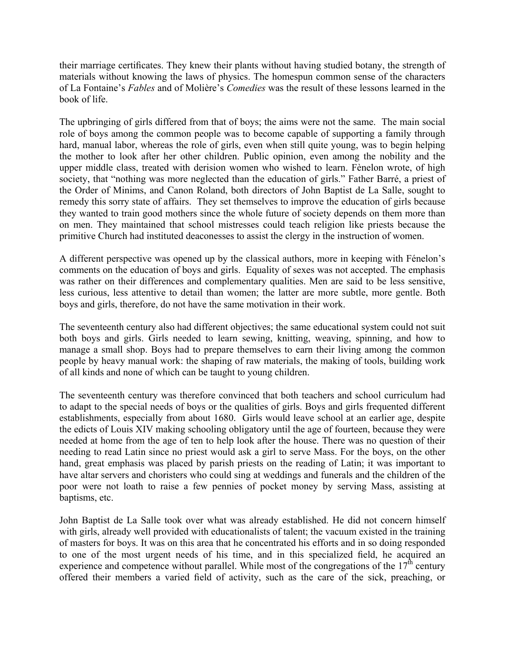their marriage certificates. They knew their plants without having studied botany, the strength of materials without knowing the laws of physics. The homespun common sense of the characters of La Fontaine's *Fables* and of Molière's *Comedies* was the result of these lessons learned in the book of life.

The upbringing of girls differed from that of boys; the aims were not the same. The main social role of boys among the common people was to become capable of supporting a family through hard, manual labor, whereas the role of girls, even when still quite young, was to begin helping the mother to look after her other children. Public opinion, even among the nobility and the upper middle class, treated with derision women who wished to learn. Fènelon wrote, of high society, that "nothing was more neglected than the education of girls." Father Barré, a priest of the Order of Minims, and Canon Roland, both directors of John Baptist de La Salle, sought to remedy this sorry state of affairs. They set themselves to improve the education of girls because they wanted to train good mothers since the whole future of society depends on them more than on men. They maintained that school mistresses could teach religion like priests because the primitive Church had instituted deaconesses to assist the clergy in the instruction of women.

A different perspective was opened up by the classical authors, more in keeping with Fénelon's comments on the education of boys and girls. Equality of sexes was not accepted. The emphasis was rather on their differences and complementary qualities. Men are said to be less sensitive, less curious, less attentive to detail than women; the latter are more subtle, more gentle. Both boys and girls, therefore, do not have the same motivation in their work.

The seventeenth century also had different objectives; the same educational system could not suit both boys and girls. Girls needed to learn sewing, knitting, weaving, spinning, and how to manage a small shop. Boys had to prepare themselves to earn their living among the common people by heavy manual work: the shaping of raw materials, the making of tools, building work of all kinds and none of which can be taught to young children.

The seventeenth century was therefore convinced that both teachers and school curriculum had to adapt to the special needs of boys or the qualities of girls. Boys and girls frequented different establishments, especially from about 1680. Girls would leave school at an earlier age, despite the edicts of Louis XIV making schooling obligatory until the age of fourteen, because they were needed at home from the age of ten to help look after the house. There was no question of their needing to read Latin since no priest would ask a girl to serve Mass. For the boys, on the other hand, great emphasis was placed by parish priests on the reading of Latin; it was important to have altar servers and choristers who could sing at weddings and funerals and the children of the poor were not loath to raise a few pennies of pocket money by serving Mass, assisting at baptisms, etc.

John Baptist de La Salle took over what was already established. He did not concern himself with girls, already well provided with educationalists of talent; the vacuum existed in the training of masters for boys. It was on this area that he concentrated his efforts and in so doing responded to one of the most urgent needs of his time, and in this specialized field, he acquired an experience and competence without parallel. While most of the congregations of the  $17<sup>th</sup>$  century offered their members a varied field of activity, such as the care of the sick, preaching, or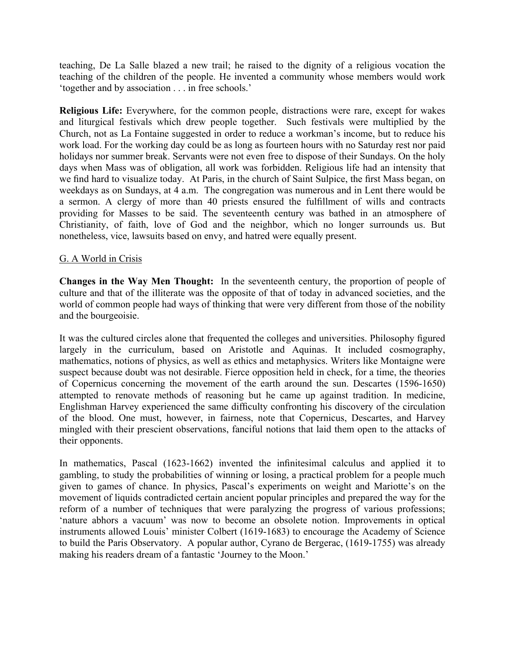teaching, De La Salle blazed a new trail; he raised to the dignity of a religious vocation the teaching of the children of the people. He invented a community whose members would work 'together and by association . . . in free schools.'

**Religious Life:** Everywhere, for the common people, distractions were rare, except for wakes and liturgical festivals which drew people together. Such festivals were multiplied by the Church, not as La Fontaine suggested in order to reduce a workman's income, but to reduce his work load. For the working day could be as long as fourteen hours with no Saturday rest nor paid holidays nor summer break. Servants were not even free to dispose of their Sundays. On the holy days when Mass was of obligation, all work was forbidden. Religious life had an intensity that we find hard to visualize today. At Paris, in the church of Saint Sulpice, the first Mass began, on weekdays as on Sundays, at 4 a.m. The congregation was numerous and in Lent there would be a sermon. A clergy of more than 40 priests ensured the fulfillment of wills and contracts providing for Masses to be said. The seventeenth century was bathed in an atmosphere of Christianity, of faith, love of God and the neighbor, which no longer surrounds us. But nonetheless, vice, lawsuits based on envy, and hatred were equally present.

### G. A World in Crisis

**Changes in the Way Men Thought:** In the seventeenth century, the proportion of people of culture and that of the illiterate was the opposite of that of today in advanced societies, and the world of common people had ways of thinking that were very different from those of the nobility and the bourgeoisie.

It was the cultured circles alone that frequented the colleges and universities. Philosophy figured largely in the curriculum, based on Aristotle and Aquinas. It included cosmography, mathematics, notions of physics, as well as ethics and metaphysics. Writers like Montaigne were suspect because doubt was not desirable. Fierce opposition held in check, for a time, the theories of Copernicus concerning the movement of the earth around the sun. Descartes (1596-1650) attempted to renovate methods of reasoning but he came up against tradition. In medicine, Englishman Harvey experienced the same difficulty confronting his discovery of the circulation of the blood. One must, however, in fairness, note that Copernicus, Descartes, and Harvey mingled with their prescient observations, fanciful notions that laid them open to the attacks of their opponents.

In mathematics, Pascal (1623-1662) invented the infinitesimal calculus and applied it to gambling, to study the probabilities of winning or losing, a practical problem for a people much given to games of chance. In physics, Pascal's experiments on weight and Mariotte's on the movement of liquids contradicted certain ancient popular principles and prepared the way for the reform of a number of techniques that were paralyzing the progress of various professions; 'nature abhors a vacuum' was now to become an obsolete notion. Improvements in optical instruments allowed Louis' minister Colbert (1619-1683) to encourage the Academy of Science to build the Paris Observatory. A popular author, Cyrano de Bergerac, (1619-1755) was already making his readers dream of a fantastic 'Journey to the Moon.'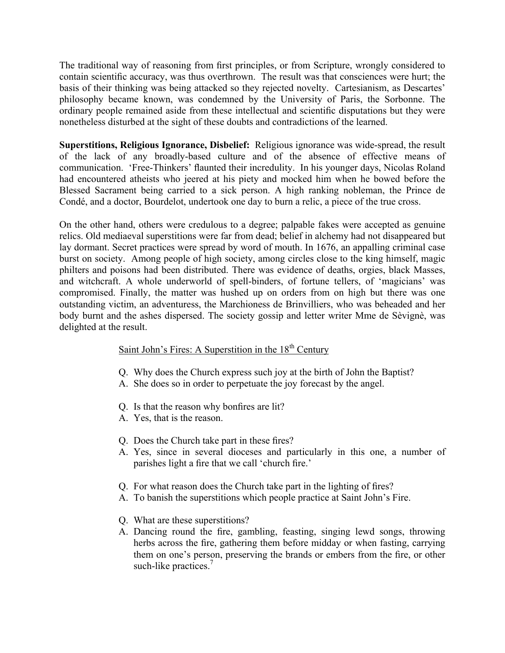The traditional way of reasoning from first principles, or from Scripture, wrongly considered to contain scientific accuracy, was thus overthrown. The result was that consciences were hurt; the basis of their thinking was being attacked so they rejected novelty. Cartesianism, as Descartes' philosophy became known, was condemned by the University of Paris, the Sorbonne. The ordinary people remained aside from these intellectual and scientific disputations but they were nonetheless disturbed at the sight of these doubts and contradictions of the learned.

**Superstitions, Religious Ignorance, Disbelief:** Religious ignorance was wide-spread, the result of the lack of any broadly-based culture and of the absence of effective means of communication. 'Free-Thinkers' flaunted their incredulity. In his younger days, Nicolas Roland had encountered atheists who jeered at his piety and mocked him when he bowed before the Blessed Sacrament being carried to a sick person. A high ranking nobleman, the Prince de Condé, and a doctor, Bourdelot, undertook one day to burn a relic, a piece of the true cross.

On the other hand, others were credulous to a degree; palpable fakes were accepted as genuine relics. Old mediaeval superstitions were far from dead; belief in alchemy had not disappeared but lay dormant. Secret practices were spread by word of mouth. In 1676, an appalling criminal case burst on society. Among people of high society, among circles close to the king himself, magic philters and poisons had been distributed. There was evidence of deaths, orgies, black Masses, and witchcraft. A whole underworld of spell-binders, of fortune tellers, of 'magicians' was compromised. Finally, the matter was hushed up on orders from on high but there was one outstanding victim, an adventuress, the Marchioness de Brinvilliers, who was beheaded and her body burnt and the ashes dispersed. The society gossip and letter writer Mme de Sèvignè, was delighted at the result.

## Saint John's Fires: A Superstition in the  $18<sup>th</sup>$  Century

- Q. Why does the Church express such joy at the birth of John the Baptist?
- A. She does so in order to perpetuate the joy forecast by the angel.
- Q. Is that the reason why bonfires are lit?
- A. Yes, that is the reason.
- Q. Does the Church take part in these fires?
- A. Yes, since in several dioceses and particularly in this one, a number of parishes light a fire that we call 'church fire.'
- Q. For what reason does the Church take part in the lighting of fires?
- A. To banish the superstitions which people practice at Saint John's Fire.
- Q. What are these superstitions?
- A. Dancing round the fire, gambling, feasting, singing lewd songs, throwing herbs across the fire, gathering them before midday or when fasting, carrying them on one's person, preserving the brands or embers from the fire, or other such-like practices.<sup>7</sup>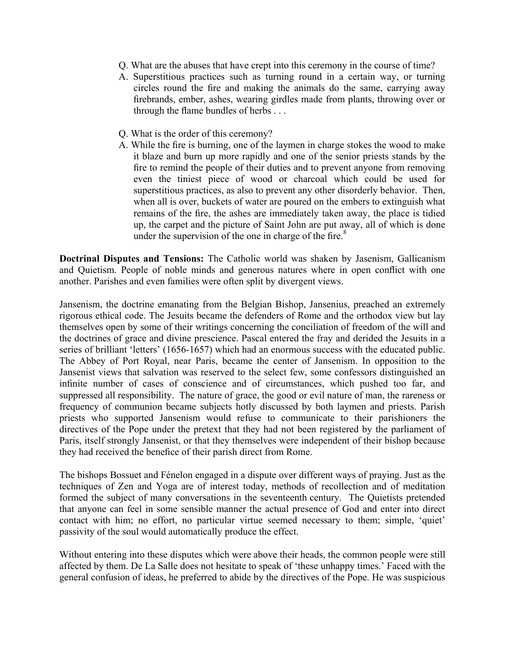- Q. What are the abuses that have crept into this ceremony in the course of time?
- A. Superstitious practices such as turning round in a certain way, or turning circles round the fire and making the animals do the same, carrying away firebrands, ember, ashes, wearing girdles made from plants, throwing over or through the flame bundles of herbs . . .
- Q. What is the order of this ceremony?
- A. While the fire is burning, one of the laymen in charge stokes the wood to make it blaze and burn up more rapidly and one of the senior priests stands by the fire to remind the people of their duties and to prevent anyone from removing even the tiniest piece of wood or charcoal which could be used for superstitious practices, as also to prevent any other disorderly behavior. Then, when all is over, buckets of water are poured on the embers to extinguish what remains of the fire, the ashes are immediately taken away, the place is tidied up, the carpet and the picture of Saint John are put away, all of which is done under the supervision of the one in charge of the fire. $8$

**Doctrinal Disputes and Tensions:** The Catholic world was shaken by Jasenism, Gallicanism and Quietism. People of noble minds and generous natures where in open conflict with one another. Parishes and even families were often split by divergent views.

Jansenism, the doctrine emanating from the Belgian Bishop, Jansenius, preached an extremely rigorous ethical code. The Jesuits became the defenders of Rome and the orthodox view but lay themselves open by some of their writings concerning the conciliation of freedom of the will and the doctrines of grace and divine prescience. Pascal entered the fray and derided the Jesuits in a series of brilliant 'letters' (1656-1657) which had an enormous success with the educated public. The Abbey of Port Royal, near Paris, became the center of Jansenism. In opposition to the Jansenist views that salvation was reserved to the select few, some confessors distinguished an infinite number of cases of conscience and of circumstances, which pushed too far, and suppressed all responsibility. The nature of grace, the good or evil nature of man, the rareness or frequency of communion became subjects hotly discussed by both laymen and priests. Parish priests who supported Jansenism would refuse to communicate to their parishioners the directives of the Pope under the pretext that they had not been registered by the parliament of Paris, itself strongly Jansenist, or that they themselves were independent of their bishop because they had received the benefice of their parish direct from Rome.

The bishops Bossuet and Fénelon engaged in a dispute over different ways of praying. Just as the techniques of Zen and Yoga are of interest today, methods of recollection and of meditation formed the subject of many conversations in the seventeenth century. The Quietists pretended that anyone can feel in some sensible manner the actual presence of God and enter into direct contact with him; no effort, no particular virtue seemed necessary to them; simple, 'quiet' passivity of the soul would automatically produce the effect.

Without entering into these disputes which were above their heads, the common people were still affected by them. De La Salle does not hesitate to speak of 'these unhappy times.' Faced with the general confusion of ideas, he preferred to abide by the directives of the Pope. He was suspicious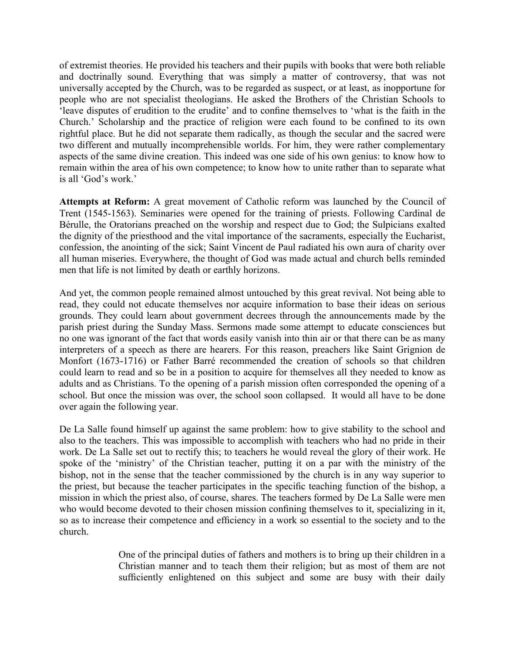of extremist theories. He provided his teachers and their pupils with books that were both reliable and doctrinally sound. Everything that was simply a matter of controversy, that was not universally accepted by the Church, was to be regarded as suspect, or at least, as inopportune for people who are not specialist theologians. He asked the Brothers of the Christian Schools to 'leave disputes of erudition to the erudite' and to confine themselves to 'what is the faith in the Church.' Scholarship and the practice of religion were each found to be confined to its own rightful place. But he did not separate them radically, as though the secular and the sacred were two different and mutually incomprehensible worlds. For him, they were rather complementary aspects of the same divine creation. This indeed was one side of his own genius: to know how to remain within the area of his own competence; to know how to unite rather than to separate what is all 'God's work.'

**Attempts at Reform:** A great movement of Catholic reform was launched by the Council of Trent (1545-1563). Seminaries were opened for the training of priests. Following Cardinal de Bérulle, the Oratorians preached on the worship and respect due to God; the Sulpicians exalted the dignity of the priesthood and the vital importance of the sacraments, especially the Eucharist, confession, the anointing of the sick; Saint Vincent de Paul radiated his own aura of charity over all human miseries. Everywhere, the thought of God was made actual and church bells reminded men that life is not limited by death or earthly horizons.

And yet, the common people remained almost untouched by this great revival. Not being able to read, they could not educate themselves nor acquire information to base their ideas on serious grounds. They could learn about government decrees through the announcements made by the parish priest during the Sunday Mass. Sermons made some attempt to educate consciences but no one was ignorant of the fact that words easily vanish into thin air or that there can be as many interpreters of a speech as there are hearers. For this reason, preachers like Saint Grignion de Monfort (1673-1716) or Father Barré recommended the creation of schools so that children could learn to read and so be in a position to acquire for themselves all they needed to know as adults and as Christians. To the opening of a parish mission often corresponded the opening of a school. But once the mission was over, the school soon collapsed. It would all have to be done over again the following year.

De La Salle found himself up against the same problem: how to give stability to the school and also to the teachers. This was impossible to accomplish with teachers who had no pride in their work. De La Salle set out to rectify this; to teachers he would reveal the glory of their work. He spoke of the 'ministry' of the Christian teacher, putting it on a par with the ministry of the bishop, not in the sense that the teacher commissioned by the church is in any way superior to the priest, but because the teacher participates in the specific teaching function of the bishop, a mission in which the priest also, of course, shares. The teachers formed by De La Salle were men who would become devoted to their chosen mission confining themselves to it, specializing in it, so as to increase their competence and efficiency in a work so essential to the society and to the church.

> One of the principal duties of fathers and mothers is to bring up their children in a Christian manner and to teach them their religion; but as most of them are not sufficiently enlightened on this subject and some are busy with their daily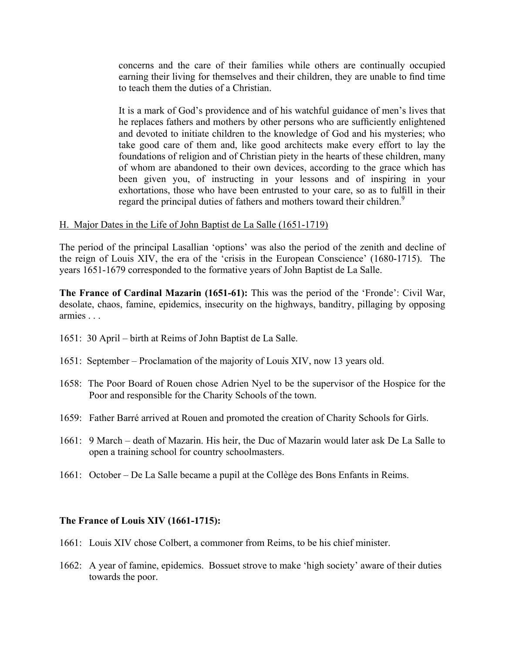concerns and the care of their families while others are continually occupied earning their living for themselves and their children, they are unable to find time to teach them the duties of a Christian.

It is a mark of God's providence and of his watchful guidance of men's lives that he replaces fathers and mothers by other persons who are sufficiently enlightened and devoted to initiate children to the knowledge of God and his mysteries; who take good care of them and, like good architects make every effort to lay the foundations of religion and of Christian piety in the hearts of these children, many of whom are abandoned to their own devices, according to the grace which has been given you, of instructing in your lessons and of inspiring in your exhortations, those who have been entrusted to your care, so as to fulfill in their regard the principal duties of fathers and mothers toward their children.<sup>9</sup>

#### H. Major Dates in the Life of John Baptist de La Salle (1651-1719)

The period of the principal Lasallian 'options' was also the period of the zenith and decline of the reign of Louis XIV, the era of the 'crisis in the European Conscience' (1680-1715). The years 1651-1679 corresponded to the formative years of John Baptist de La Salle.

**The France of Cardinal Mazarin (1651-61):** This was the period of the 'Fronde': Civil War, desolate, chaos, famine, epidemics, insecurity on the highways, banditry, pillaging by opposing armies . . .

- 1651: 30 April birth at Reims of John Baptist de La Salle.
- 1651: September Proclamation of the majority of Louis XIV, now 13 years old.
- 1658: The Poor Board of Rouen chose Adrien Nyel to be the supervisor of the Hospice for the Poor and responsible for the Charity Schools of the town.
- 1659: Father Barré arrived at Rouen and promoted the creation of Charity Schools for Girls.
- 1661: 9 March death of Mazarin. His heir, the Duc of Mazarin would later ask De La Salle to open a training school for country schoolmasters.
- 1661: October De La Salle became a pupil at the Collège des Bons Enfants in Reims.

#### **The France of Louis XIV (1661-1715):**

- 1661: Louis XIV chose Colbert, a commoner from Reims, to be his chief minister.
- 1662: A year of famine, epidemics. Bossuet strove to make 'high society' aware of their duties towards the poor.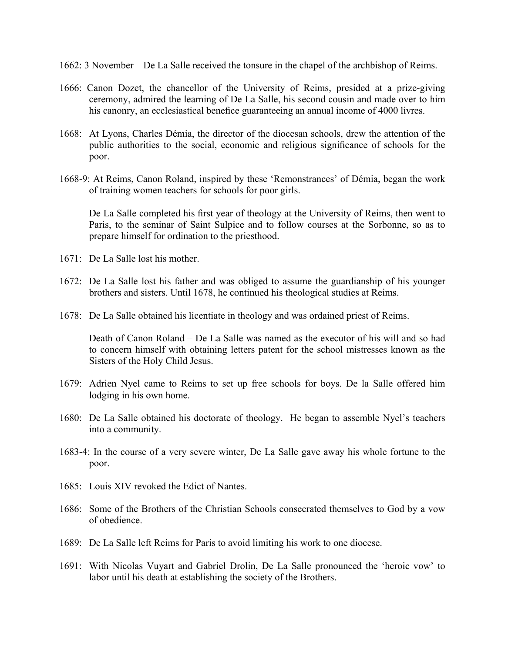- 1662: 3 November De La Salle received the tonsure in the chapel of the archbishop of Reims.
- 1666: Canon Dozet, the chancellor of the University of Reims, presided at a prize-giving ceremony, admired the learning of De La Salle, his second cousin and made over to him his canonry, an ecclesiastical benefice guaranteeing an annual income of 4000 livres.
- 1668: At Lyons, Charles Démia, the director of the diocesan schools, drew the attention of the public authorities to the social, economic and religious significance of schools for the poor.
- 1668-9: At Reims, Canon Roland, inspired by these 'Remonstrances' of Démia, began the work of training women teachers for schools for poor girls.

 De La Salle completed his first year of theology at the University of Reims, then went to Paris, to the seminar of Saint Sulpice and to follow courses at the Sorbonne, so as to prepare himself for ordination to the priesthood.

- 1671: De La Salle lost his mother.
- 1672: De La Salle lost his father and was obliged to assume the guardianship of his younger brothers and sisters. Until 1678, he continued his theological studies at Reims.
- 1678: De La Salle obtained his licentiate in theology and was ordained priest of Reims.

 Death of Canon Roland – De La Salle was named as the executor of his will and so had to concern himself with obtaining letters patent for the school mistresses known as the Sisters of the Holy Child Jesus.

- 1679: Adrien Nyel came to Reims to set up free schools for boys. De la Salle offered him lodging in his own home.
- 1680: De La Salle obtained his doctorate of theology. He began to assemble Nyel's teachers into a community.
- 1683-4: In the course of a very severe winter, De La Salle gave away his whole fortune to the poor.
- 1685: Louis XIV revoked the Edict of Nantes.
- 1686: Some of the Brothers of the Christian Schools consecrated themselves to God by a vow of obedience.
- 1689: De La Salle left Reims for Paris to avoid limiting his work to one diocese.
- 1691: With Nicolas Vuyart and Gabriel Drolin, De La Salle pronounced the 'heroic vow' to labor until his death at establishing the society of the Brothers.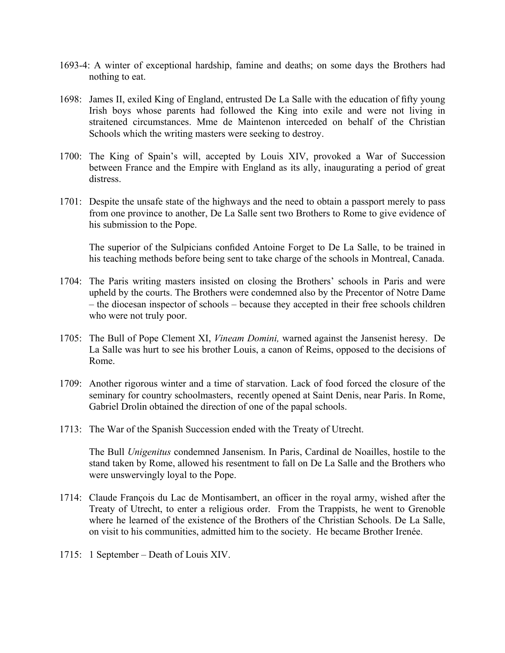- 1693-4: A winter of exceptional hardship, famine and deaths; on some days the Brothers had nothing to eat.
- 1698: James II, exiled King of England, entrusted De La Salle with the education of fifty young Irish boys whose parents had followed the King into exile and were not living in straitened circumstances. Mme de Maintenon interceded on behalf of the Christian Schools which the writing masters were seeking to destroy.
- 1700: The King of Spain's will, accepted by Louis XIV, provoked a War of Succession between France and the Empire with England as its ally, inaugurating a period of great distress.
- 1701: Despite the unsafe state of the highways and the need to obtain a passport merely to pass from one province to another, De La Salle sent two Brothers to Rome to give evidence of his submission to the Pope.

 The superior of the Sulpicians confided Antoine Forget to De La Salle, to be trained in his teaching methods before being sent to take charge of the schools in Montreal, Canada.

- 1704: The Paris writing masters insisted on closing the Brothers' schools in Paris and were upheld by the courts. The Brothers were condemned also by the Precentor of Notre Dame – the diocesan inspector of schools – because they accepted in their free schools children who were not truly poor.
- 1705: The Bull of Pope Clement XI, *Vineam Domini,* warned against the Jansenist heresy. De La Salle was hurt to see his brother Louis, a canon of Reims, opposed to the decisions of Rome.
- 1709: Another rigorous winter and a time of starvation. Lack of food forced the closure of the seminary for country schoolmasters, recently opened at Saint Denis, near Paris. In Rome, Gabriel Drolin obtained the direction of one of the papal schools.
- 1713: The War of the Spanish Succession ended with the Treaty of Utrecht.

 The Bull *Unigenitus* condemned Jansenism. In Paris, Cardinal de Noailles, hostile to the stand taken by Rome, allowed his resentment to fall on De La Salle and the Brothers who were unswervingly loyal to the Pope.

- 1714: Claude François du Lac de Montisambert, an officer in the royal army, wished after the Treaty of Utrecht, to enter a religious order. From the Trappists, he went to Grenoble where he learned of the existence of the Brothers of the Christian Schools. De La Salle, on visit to his communities, admitted him to the society. He became Brother Irenée.
- 1715: 1 September Death of Louis XIV.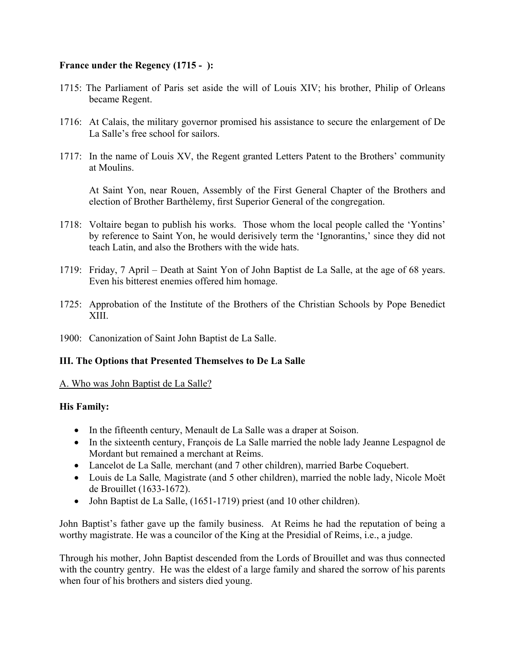## **France under the Regency (1715 - ):**

- 1715: The Parliament of Paris set aside the will of Louis XIV; his brother, Philip of Orleans became Regent.
- 1716: At Calais, the military governor promised his assistance to secure the enlargement of De La Salle's free school for sailors.
- 1717: In the name of Louis XV, the Regent granted Letters Patent to the Brothers' community at Moulins.

 At Saint Yon, near Rouen, Assembly of the First General Chapter of the Brothers and election of Brother Barthèlemy, first Superior General of the congregation.

- 1718: Voltaire began to publish his works. Those whom the local people called the 'Yontins' by reference to Saint Yon, he would derisively term the 'Ignorantins,' since they did not teach Latin, and also the Brothers with the wide hats.
- 1719: Friday, 7 April Death at Saint Yon of John Baptist de La Salle, at the age of 68 years. Even his bitterest enemies offered him homage.
- 1725: Approbation of the Institute of the Brothers of the Christian Schools by Pope Benedict XIII.
- 1900: Canonization of Saint John Baptist de La Salle.

### **III. The Options that Presented Themselves to De La Salle**

### A. Who was John Baptist de La Salle?

### **His Family:**

- In the fifteenth century, Menault de La Salle was a draper at Soison.
- In the sixteenth century, François de La Salle married the noble lady Jeanne Lespagnol de Mordant but remained a merchant at Reims.
- Lancelot de La Salle*,* merchant (and 7 other children), married Barbe Coquebert.
- Louis de La Salle*,* Magistrate (and 5 other children), married the noble lady, Nicole Moët de Brouillet (1633-1672).
- John Baptist de La Salle, (1651-1719) priest (and 10 other children).

John Baptist's father gave up the family business. At Reims he had the reputation of being a worthy magistrate. He was a councilor of the King at the Presidial of Reims, i.e., a judge.

Through his mother, John Baptist descended from the Lords of Brouillet and was thus connected with the country gentry. He was the eldest of a large family and shared the sorrow of his parents when four of his brothers and sisters died young.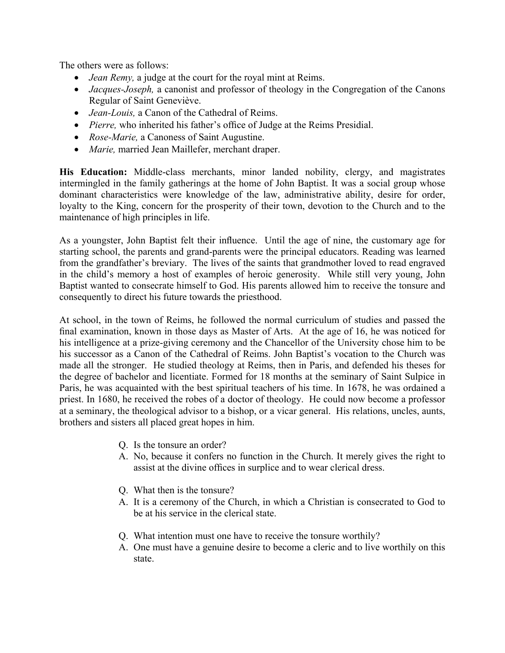The others were as follows:

- *Jean Remy,* a judge at the court for the royal mint at Reims.
- *Jacques-Joseph*, a canonist and professor of theology in the Congregation of the Canons Regular of Saint Geneviève.
- *Jean-Louis,* a Canon of the Cathedral of Reims.
- *Pierre,* who inherited his father's office of Judge at the Reims Presidial.
- *Rose-Marie,* a Canoness of Saint Augustine.
- *Marie,* married Jean Maillefer, merchant draper.

**His Education:** Middle-class merchants, minor landed nobility, clergy, and magistrates intermingled in the family gatherings at the home of John Baptist. It was a social group whose dominant characteristics were knowledge of the law, administrative ability, desire for order, loyalty to the King, concern for the prosperity of their town, devotion to the Church and to the maintenance of high principles in life.

As a youngster, John Baptist felt their influence. Until the age of nine, the customary age for starting school, the parents and grand-parents were the principal educators. Reading was learned from the grandfather's breviary. The lives of the saints that grandmother loved to read engraved in the child's memory a host of examples of heroic generosity. While still very young, John Baptist wanted to consecrate himself to God. His parents allowed him to receive the tonsure and consequently to direct his future towards the priesthood.

At school, in the town of Reims, he followed the normal curriculum of studies and passed the final examination, known in those days as Master of Arts. At the age of 16, he was noticed for his intelligence at a prize-giving ceremony and the Chancellor of the University chose him to be his successor as a Canon of the Cathedral of Reims. John Baptist's vocation to the Church was made all the stronger. He studied theology at Reims, then in Paris, and defended his theses for the degree of bachelor and licentiate. Formed for 18 months at the seminary of Saint Sulpice in Paris, he was acquainted with the best spiritual teachers of his time. In 1678, he was ordained a priest. In 1680, he received the robes of a doctor of theology. He could now become a professor at a seminary, the theological advisor to a bishop, or a vicar general. His relations, uncles, aunts, brothers and sisters all placed great hopes in him.

- Q. Is the tonsure an order?
- A. No, because it confers no function in the Church. It merely gives the right to assist at the divine offices in surplice and to wear clerical dress.
- Q. What then is the tonsure?
- A. It is a ceremony of the Church, in which a Christian is consecrated to God to be at his service in the clerical state.
- Q. What intention must one have to receive the tonsure worthily?
- A. One must have a genuine desire to become a cleric and to live worthily on this state.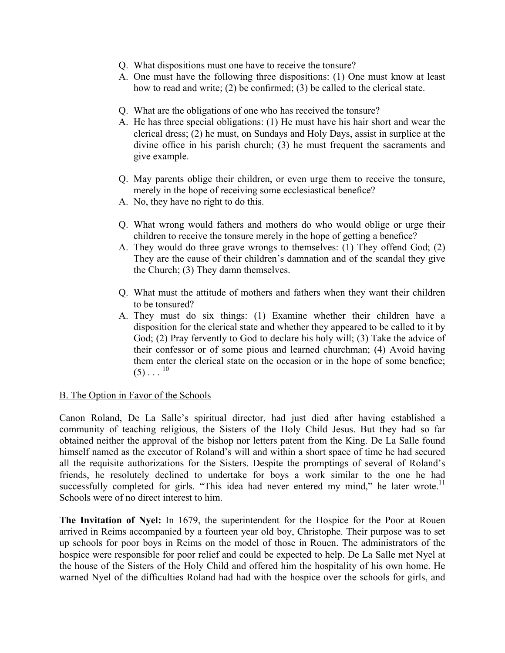- Q. What dispositions must one have to receive the tonsure?
- A. One must have the following three dispositions: (1) One must know at least how to read and write; (2) be confirmed; (3) be called to the clerical state.
- Q. What are the obligations of one who has received the tonsure?
- A. He has three special obligations: (1) He must have his hair short and wear the clerical dress; (2) he must, on Sundays and Holy Days, assist in surplice at the divine office in his parish church; (3) he must frequent the sacraments and give example.
- Q. May parents oblige their children, or even urge them to receive the tonsure, merely in the hope of receiving some ecclesiastical benefice?
- A. No, they have no right to do this.
- Q. What wrong would fathers and mothers do who would oblige or urge their children to receive the tonsure merely in the hope of getting a benefice?
- A. They would do three grave wrongs to themselves: (1) They offend God; (2) They are the cause of their children's damnation and of the scandal they give the Church; (3) They damn themselves.
- Q. What must the attitude of mothers and fathers when they want their children to be tonsured?
- A. They must do six things: (1) Examine whether their children have a disposition for the clerical state and whether they appeared to be called to it by God; (2) Pray fervently to God to declare his holy will; (3) Take the advice of their confessor or of some pious and learned churchman; (4) Avoid having them enter the clerical state on the occasion or in the hope of some benefice;  $(5)$ ...<sup>10</sup>

#### B. The Option in Favor of the Schools

Canon Roland, De La Salle's spiritual director, had just died after having established a community of teaching religious, the Sisters of the Holy Child Jesus. But they had so far obtained neither the approval of the bishop nor letters patent from the King. De La Salle found himself named as the executor of Roland's will and within a short space of time he had secured all the requisite authorizations for the Sisters. Despite the promptings of several of Roland's friends, he resolutely declined to undertake for boys a work similar to the one he had successfully completed for girls. "This idea had never entered my mind," he later wrote.<sup>11</sup> Schools were of no direct interest to him.

**The Invitation of Nyel:** In 1679, the superintendent for the Hospice for the Poor at Rouen arrived in Reims accompanied by a fourteen year old boy, Christophe. Their purpose was to set up schools for poor boys in Reims on the model of those in Rouen. The administrators of the hospice were responsible for poor relief and could be expected to help. De La Salle met Nyel at the house of the Sisters of the Holy Child and offered him the hospitality of his own home. He warned Nyel of the difficulties Roland had had with the hospice over the schools for girls, and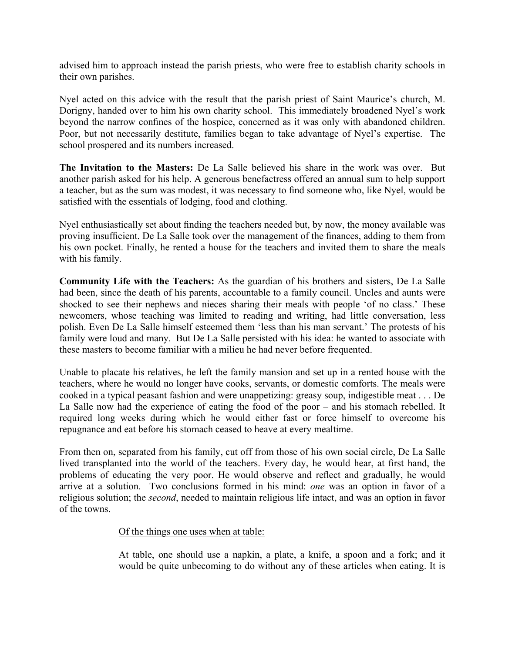advised him to approach instead the parish priests, who were free to establish charity schools in their own parishes.

Nyel acted on this advice with the result that the parish priest of Saint Maurice's church, M. Dorigny, handed over to him his own charity school. This immediately broadened Nyel's work beyond the narrow confines of the hospice, concerned as it was only with abandoned children. Poor, but not necessarily destitute, families began to take advantage of Nyel's expertise. The school prospered and its numbers increased.

**The Invitation to the Masters:** De La Salle believed his share in the work was over. But another parish asked for his help. A generous benefactress offered an annual sum to help support a teacher, but as the sum was modest, it was necessary to find someone who, like Nyel, would be satisfied with the essentials of lodging, food and clothing.

Nyel enthusiastically set about finding the teachers needed but, by now, the money available was proving insufficient. De La Salle took over the management of the finances, adding to them from his own pocket. Finally, he rented a house for the teachers and invited them to share the meals with his family.

**Community Life with the Teachers:** As the guardian of his brothers and sisters, De La Salle had been, since the death of his parents, accountable to a family council. Uncles and aunts were shocked to see their nephews and nieces sharing their meals with people 'of no class.' These newcomers, whose teaching was limited to reading and writing, had little conversation, less polish. Even De La Salle himself esteemed them 'less than his man servant.' The protests of his family were loud and many. But De La Salle persisted with his idea: he wanted to associate with these masters to become familiar with a milieu he had never before frequented.

Unable to placate his relatives, he left the family mansion and set up in a rented house with the teachers, where he would no longer have cooks, servants, or domestic comforts. The meals were cooked in a typical peasant fashion and were unappetizing: greasy soup, indigestible meat . . . De La Salle now had the experience of eating the food of the poor – and his stomach rebelled. It required long weeks during which he would either fast or force himself to overcome his repugnance and eat before his stomach ceased to heave at every mealtime.

From then on, separated from his family, cut off from those of his own social circle, De La Salle lived transplanted into the world of the teachers. Every day, he would hear, at first hand, the problems of educating the very poor. He would observe and reflect and gradually, he would arrive at a solution. Two conclusions formed in his mind: *one* was an option in favor of a religious solution; the *second*, needed to maintain religious life intact, and was an option in favor of the towns.

#### Of the things one uses when at table:

At table, one should use a napkin, a plate, a knife, a spoon and a fork; and it would be quite unbecoming to do without any of these articles when eating. It is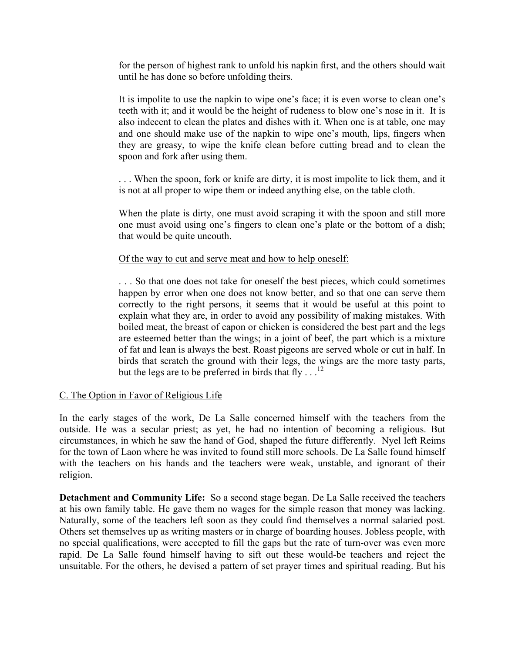for the person of highest rank to unfold his napkin first, and the others should wait until he has done so before unfolding theirs.

It is impolite to use the napkin to wipe one's face; it is even worse to clean one's teeth with it; and it would be the height of rudeness to blow one's nose in it. It is also indecent to clean the plates and dishes with it. When one is at table, one may and one should make use of the napkin to wipe one's mouth, lips, fingers when they are greasy, to wipe the knife clean before cutting bread and to clean the spoon and fork after using them.

. . . When the spoon, fork or knife are dirty, it is most impolite to lick them, and it is not at all proper to wipe them or indeed anything else, on the table cloth.

When the plate is dirty, one must avoid scraping it with the spoon and still more one must avoid using one's fingers to clean one's plate or the bottom of a dish; that would be quite uncouth.

#### Of the way to cut and serve meat and how to help oneself:

. . . So that one does not take for oneself the best pieces, which could sometimes happen by error when one does not know better, and so that one can serve them correctly to the right persons, it seems that it would be useful at this point to explain what they are, in order to avoid any possibility of making mistakes. With boiled meat, the breast of capon or chicken is considered the best part and the legs are esteemed better than the wings; in a joint of beef, the part which is a mixture of fat and lean is always the best. Roast pigeons are served whole or cut in half. In birds that scratch the ground with their legs, the wings are the more tasty parts, but the legs are to be preferred in birds that fly  $\dots$ <sup>12</sup>

#### C. The Option in Favor of Religious Life

In the early stages of the work, De La Salle concerned himself with the teachers from the outside. He was a secular priest; as yet, he had no intention of becoming a religious. But circumstances, in which he saw the hand of God, shaped the future differently. Nyel left Reims for the town of Laon where he was invited to found still more schools. De La Salle found himself with the teachers on his hands and the teachers were weak, unstable, and ignorant of their religion.

**Detachment and Community Life:** So a second stage began. De La Salle received the teachers at his own family table. He gave them no wages for the simple reason that money was lacking. Naturally, some of the teachers left soon as they could find themselves a normal salaried post. Others set themselves up as writing masters or in charge of boarding houses. Jobless people, with no special qualifications, were accepted to fill the gaps but the rate of turn-over was even more rapid. De La Salle found himself having to sift out these would-be teachers and reject the unsuitable. For the others, he devised a pattern of set prayer times and spiritual reading. But his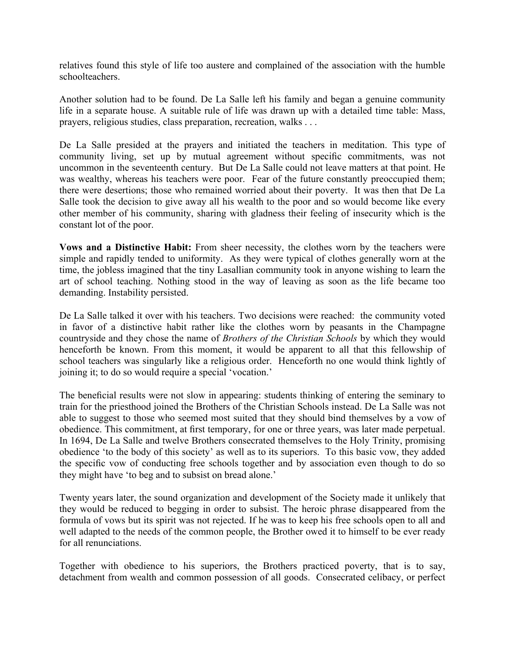relatives found this style of life too austere and complained of the association with the humble schoolteachers.

Another solution had to be found. De La Salle left his family and began a genuine community life in a separate house. A suitable rule of life was drawn up with a detailed time table: Mass, prayers, religious studies, class preparation, recreation, walks . . .

De La Salle presided at the prayers and initiated the teachers in meditation. This type of community living, set up by mutual agreement without specific commitments, was not uncommon in the seventeenth century. But De La Salle could not leave matters at that point. He was wealthy, whereas his teachers were poor. Fear of the future constantly preoccupied them; there were desertions; those who remained worried about their poverty. It was then that De La Salle took the decision to give away all his wealth to the poor and so would become like every other member of his community, sharing with gladness their feeling of insecurity which is the constant lot of the poor.

**Vows and a Distinctive Habit:** From sheer necessity, the clothes worn by the teachers were simple and rapidly tended to uniformity. As they were typical of clothes generally worn at the time, the jobless imagined that the tiny Lasallian community took in anyone wishing to learn the art of school teaching. Nothing stood in the way of leaving as soon as the life became too demanding. Instability persisted.

De La Salle talked it over with his teachers. Two decisions were reached: the community voted in favor of a distinctive habit rather like the clothes worn by peasants in the Champagne countryside and they chose the name of *Brothers of the Christian Schools* by which they would henceforth be known. From this moment, it would be apparent to all that this fellowship of school teachers was singularly like a religious order. Henceforth no one would think lightly of joining it; to do so would require a special 'vocation.'

The beneficial results were not slow in appearing: students thinking of entering the seminary to train for the priesthood joined the Brothers of the Christian Schools instead. De La Salle was not able to suggest to those who seemed most suited that they should bind themselves by a vow of obedience. This commitment, at first temporary, for one or three years, was later made perpetual. In 1694, De La Salle and twelve Brothers consecrated themselves to the Holy Trinity, promising obedience 'to the body of this society' as well as to its superiors. To this basic vow, they added the specific vow of conducting free schools together and by association even though to do so they might have 'to beg and to subsist on bread alone.'

Twenty years later, the sound organization and development of the Society made it unlikely that they would be reduced to begging in order to subsist. The heroic phrase disappeared from the formula of vows but its spirit was not rejected. If he was to keep his free schools open to all and well adapted to the needs of the common people, the Brother owed it to himself to be ever ready for all renunciations.

Together with obedience to his superiors, the Brothers practiced poverty, that is to say, detachment from wealth and common possession of all goods. Consecrated celibacy, or perfect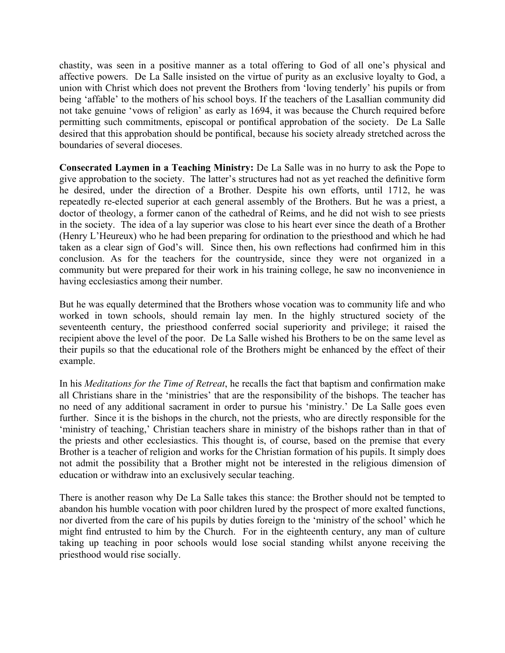chastity, was seen in a positive manner as a total offering to God of all one's physical and affective powers. De La Salle insisted on the virtue of purity as an exclusive loyalty to God, a union with Christ which does not prevent the Brothers from 'loving tenderly' his pupils or from being 'affable' to the mothers of his school boys. If the teachers of the Lasallian community did not take genuine 'vows of religion' as early as 1694, it was because the Church required before permitting such commitments, episcopal or pontifical approbation of the society. De La Salle desired that this approbation should be pontifical, because his society already stretched across the boundaries of several dioceses.

**Consecrated Laymen in a Teaching Ministry:** De La Salle was in no hurry to ask the Pope to give approbation to the society. The latter's structures had not as yet reached the definitive form he desired, under the direction of a Brother. Despite his own efforts, until 1712, he was repeatedly re-elected superior at each general assembly of the Brothers. But he was a priest, a doctor of theology, a former canon of the cathedral of Reims, and he did not wish to see priests in the society. The idea of a lay superior was close to his heart ever since the death of a Brother (Henry L'Heureux) who he had been preparing for ordination to the priesthood and which he had taken as a clear sign of God's will. Since then, his own reflections had confirmed him in this conclusion. As for the teachers for the countryside, since they were not organized in a community but were prepared for their work in his training college, he saw no inconvenience in having ecclesiastics among their number.

But he was equally determined that the Brothers whose vocation was to community life and who worked in town schools, should remain lay men. In the highly structured society of the seventeenth century, the priesthood conferred social superiority and privilege; it raised the recipient above the level of the poor. De La Salle wished his Brothers to be on the same level as their pupils so that the educational role of the Brothers might be enhanced by the effect of their example.

In his *Meditations for the Time of Retreat*, he recalls the fact that baptism and confirmation make all Christians share in the 'ministries' that are the responsibility of the bishops. The teacher has no need of any additional sacrament in order to pursue his 'ministry.' De La Salle goes even further. Since it is the bishops in the church, not the priests, who are directly responsible for the 'ministry of teaching,' Christian teachers share in ministry of the bishops rather than in that of the priests and other ecclesiastics. This thought is, of course, based on the premise that every Brother is a teacher of religion and works for the Christian formation of his pupils. It simply does not admit the possibility that a Brother might not be interested in the religious dimension of education or withdraw into an exclusively secular teaching.

There is another reason why De La Salle takes this stance: the Brother should not be tempted to abandon his humble vocation with poor children lured by the prospect of more exalted functions, nor diverted from the care of his pupils by duties foreign to the 'ministry of the school' which he might find entrusted to him by the Church. For in the eighteenth century, any man of culture taking up teaching in poor schools would lose social standing whilst anyone receiving the priesthood would rise socially.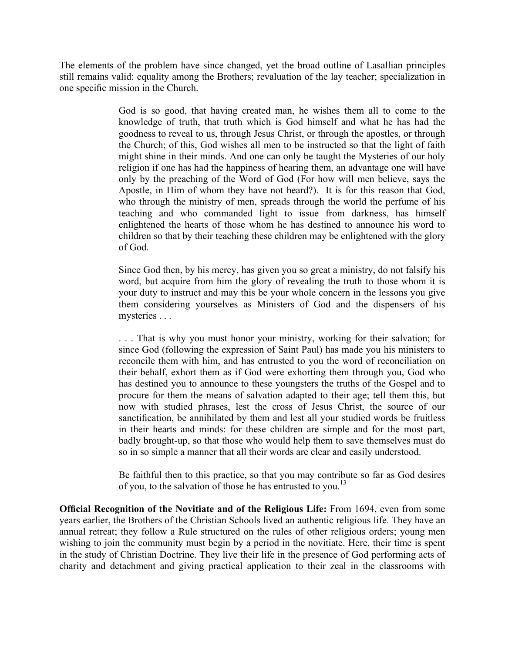The elements of the problem have since changed, yet the broad outline of Lasallian principles still remains valid: equality among the Brothers; revaluation of the lay teacher; specialization in one specific mission in the Church.

> God is so good, that having created man, he wishes them all to come to the knowledge of truth, that truth which is God himself and what he has had the goodness to reveal to us, through Jesus Christ, or through the apostles, or through the Church; of this, God wishes all men to be instructed so that the light of faith might shine in their minds. And one can only be taught the Mysteries of our holy religion if one has had the happiness of hearing them, an advantage one will have only by the preaching of the Word of God (For how will men believe, says the Apostle, in Him of whom they have not heard?). It is for this reason that God, who through the ministry of men, spreads through the world the perfume of his teaching and who commanded light to issue from darkness, has himself enlightened the hearts of those whom he has destined to announce his word to children so that by their teaching these children may be enlightened with the glory of God.

> Since God then, by his mercy, has given you so great a ministry, do not falsify his word, but acquire from him the glory of revealing the truth to those whom it is your duty to instruct and may this be your whole concern in the lessons you give them considering yourselves as Ministers of God and the dispensers of his mysteries . . .

> . . . That is why you must honor your ministry, working for their salvation; for since God (following the expression of Saint Paul) has made you his ministers to reconcile them with him, and has entrusted to you the word of reconciliation on their behalf, exhort them as if God were exhorting them through you, God who has destined you to announce to these youngsters the truths of the Gospel and to procure for them the means of salvation adapted to their age; tell them this, but now with studied phrases, lest the cross of Jesus Christ, the source of our sanctification, be annihilated by them and lest all your studied words be fruitless in their hearts and minds: for these children are simple and for the most part, badly brought-up, so that those who would help them to save themselves must do so in so simple a manner that all their words are clear and easily understood.

> Be faithful then to this practice, so that you may contribute so far as God desires of you, to the salvation of those he has entrusted to you.<sup>13</sup>

**Official Recognition of the Novitiate and of the Religious Life:** From 1694, even from some years earlier, the Brothers of the Christian Schools lived an authentic religious life. They have an annual retreat; they follow a Rule structured on the rules of other religious orders; young men wishing to join the community must begin by a period in the novitiate. Here, their time is spent in the study of Christian Doctrine. They live their life in the presence of God performing acts of charity and detachment and giving practical application to their zeal in the classrooms with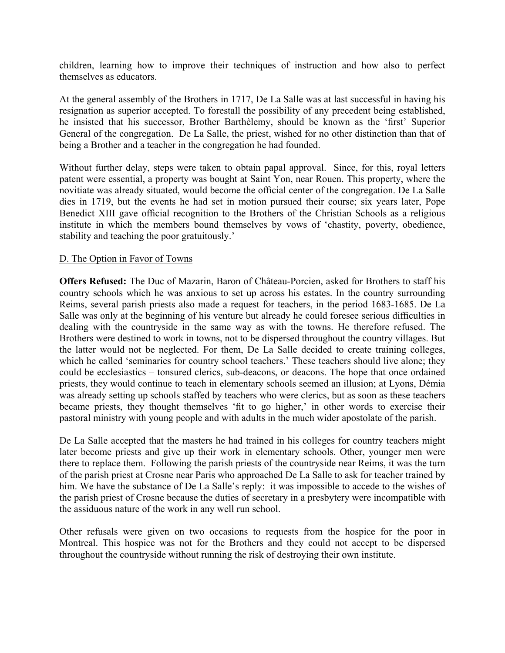children, learning how to improve their techniques of instruction and how also to perfect themselves as educators.

At the general assembly of the Brothers in 1717, De La Salle was at last successful in having his resignation as superior accepted. To forestall the possibility of any precedent being established, he insisted that his successor, Brother Barthèlemy, should be known as the 'first' Superior General of the congregation. De La Salle, the priest, wished for no other distinction than that of being a Brother and a teacher in the congregation he had founded.

Without further delay, steps were taken to obtain papal approval. Since, for this, royal letters patent were essential, a property was bought at Saint Yon, near Rouen. This property, where the novitiate was already situated, would become the official center of the congregation. De La Salle dies in 1719, but the events he had set in motion pursued their course; six years later, Pope Benedict XIII gave official recognition to the Brothers of the Christian Schools as a religious institute in which the members bound themselves by vows of 'chastity, poverty, obedience, stability and teaching the poor gratuitously.'

#### D. The Option in Favor of Towns

**Offers Refused:** The Duc of Mazarin, Baron of Château-Porcien, asked for Brothers to staff his country schools which he was anxious to set up across his estates. In the country surrounding Reims, several parish priests also made a request for teachers, in the period 1683-1685. De La Salle was only at the beginning of his venture but already he could foresee serious difficulties in dealing with the countryside in the same way as with the towns. He therefore refused. The Brothers were destined to work in towns, not to be dispersed throughout the country villages. But the latter would not be neglected. For them, De La Salle decided to create training colleges, which he called 'seminaries for country school teachers.' These teachers should live alone; they could be ecclesiastics – tonsured clerics, sub-deacons, or deacons. The hope that once ordained priests, they would continue to teach in elementary schools seemed an illusion; at Lyons, Démia was already setting up schools staffed by teachers who were clerics, but as soon as these teachers became priests, they thought themselves 'fit to go higher,' in other words to exercise their pastoral ministry with young people and with adults in the much wider apostolate of the parish.

De La Salle accepted that the masters he had trained in his colleges for country teachers might later become priests and give up their work in elementary schools. Other, younger men were there to replace them. Following the parish priests of the countryside near Reims, it was the turn of the parish priest at Crosne near Paris who approached De La Salle to ask for teacher trained by him. We have the substance of De La Salle's reply: it was impossible to accede to the wishes of the parish priest of Crosne because the duties of secretary in a presbytery were incompatible with the assiduous nature of the work in any well run school.

Other refusals were given on two occasions to requests from the hospice for the poor in Montreal. This hospice was not for the Brothers and they could not accept to be dispersed throughout the countryside without running the risk of destroying their own institute.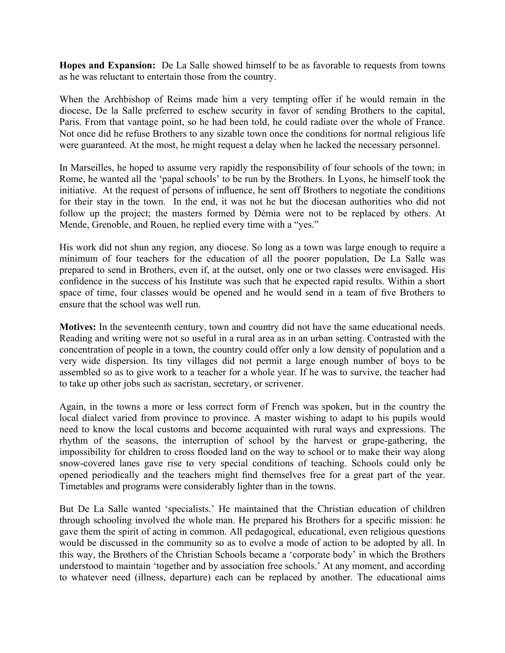**Hopes and Expansion:** De La Salle showed himself to be as favorable to requests from towns as he was reluctant to entertain those from the country.

When the Archbishop of Reims made him a very tempting offer if he would remain in the diocese, De la Salle preferred to eschew security in favor of sending Brothers to the capital, Paris. From that vantage point, so he had been told, he could radiate over the whole of France. Not once did he refuse Brothers to any sizable town once the conditions for normal religious life were guaranteed. At the most, he might request a delay when he lacked the necessary personnel.

In Marseilles, he hoped to assume very rapidly the responsibility of four schools of the town; in Rome, he wanted all the 'papal schools' to be run by the Brothers. In Lyons, he himself took the initiative. At the request of persons of influence, he sent off Brothers to negotiate the conditions for their stay in the town. In the end, it was not he but the diocesan authorities who did not follow up the project; the masters formed by Démia were not to be replaced by others. At Mende, Grenoble, and Rouen, he replied every time with a "yes."

His work did not shun any region, any diocese. So long as a town was large enough to require a minimum of four teachers for the education of all the poorer population, De La Salle was prepared to send in Brothers, even if, at the outset, only one or two classes were envisaged. His confidence in the success of his Institute was such that he expected rapid results. Within a short space of time, four classes would be opened and he would send in a team of five Brothers to ensure that the school was well run.

**Motives:** In the seventeenth century, town and country did not have the same educational needs. Reading and writing were not so useful in a rural area as in an urban setting. Contrasted with the concentration of people in a town, the country could offer only a low density of population and a very wide dispersion. Its tiny villages did not permit a large enough number of boys to be assembled so as to give work to a teacher for a whole year. If he was to survive, the teacher had to take up other jobs such as sacristan, secretary, or scrivener.

Again, in the towns a more or less correct form of French was spoken, but in the country the local dialect varied from province to province. A master wishing to adapt to his pupils would need to know the local customs and become acquainted with rural ways and expressions. The rhythm of the seasons, the interruption of school by the harvest or grape-gathering, the impossibility for children to cross flooded land on the way to school or to make their way along snow-covered lanes gave rise to very special conditions of teaching. Schools could only be opened periodically and the teachers might find themselves free for a great part of the year. Timetables and programs were considerably lighter than in the towns.

But De La Salle wanted 'specialists.' He maintained that the Christian education of children through schooling involved the whole man. He prepared his Brothers for a specific mission: he gave them the spirit of acting in common. All pedagogical, educational, even religious questions would be discussed in the community so as to evolve a mode of action to be adopted by all. In this way, the Brothers of the Christian Schools became a 'corporate body' in which the Brothers understood to maintain 'together and by association free schools.' At any moment, and according to whatever need (illness, departure) each can be replaced by another. The educational aims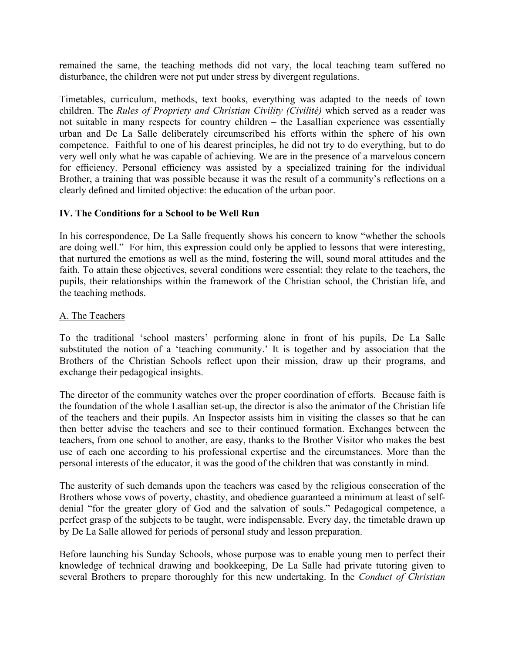remained the same, the teaching methods did not vary, the local teaching team suffered no disturbance, the children were not put under stress by divergent regulations.

Timetables, curriculum, methods, text books, everything was adapted to the needs of town children. The *Rules of Propriety and Christian Civility (Civilité)* which served as a reader was not suitable in many respects for country children – the Lasallian experience was essentially urban and De La Salle deliberately circumscribed his efforts within the sphere of his own competence. Faithful to one of his dearest principles, he did not try to do everything, but to do very well only what he was capable of achieving. We are in the presence of a marvelous concern for efficiency. Personal efficiency was assisted by a specialized training for the individual Brother, a training that was possible because it was the result of a community's reflections on a clearly defined and limited objective: the education of the urban poor.

### **IV. The Conditions for a School to be Well Run**

In his correspondence, De La Salle frequently shows his concern to know "whether the schools are doing well." For him, this expression could only be applied to lessons that were interesting, that nurtured the emotions as well as the mind, fostering the will, sound moral attitudes and the faith. To attain these objectives, several conditions were essential: they relate to the teachers, the pupils, their relationships within the framework of the Christian school, the Christian life, and the teaching methods.

#### A. The Teachers

To the traditional 'school masters' performing alone in front of his pupils, De La Salle substituted the notion of a 'teaching community.' It is together and by association that the Brothers of the Christian Schools reflect upon their mission, draw up their programs, and exchange their pedagogical insights.

The director of the community watches over the proper coordination of efforts. Because faith is the foundation of the whole Lasallian set-up, the director is also the animator of the Christian life of the teachers and their pupils. An Inspector assists him in visiting the classes so that he can then better advise the teachers and see to their continued formation. Exchanges between the teachers, from one school to another, are easy, thanks to the Brother Visitor who makes the best use of each one according to his professional expertise and the circumstances. More than the personal interests of the educator, it was the good of the children that was constantly in mind.

The austerity of such demands upon the teachers was eased by the religious consecration of the Brothers whose vows of poverty, chastity, and obedience guaranteed a minimum at least of selfdenial "for the greater glory of God and the salvation of souls." Pedagogical competence, a perfect grasp of the subjects to be taught, were indispensable. Every day, the timetable drawn up by De La Salle allowed for periods of personal study and lesson preparation.

Before launching his Sunday Schools, whose purpose was to enable young men to perfect their knowledge of technical drawing and bookkeeping, De La Salle had private tutoring given to several Brothers to prepare thoroughly for this new undertaking. In the *Conduct of Christian*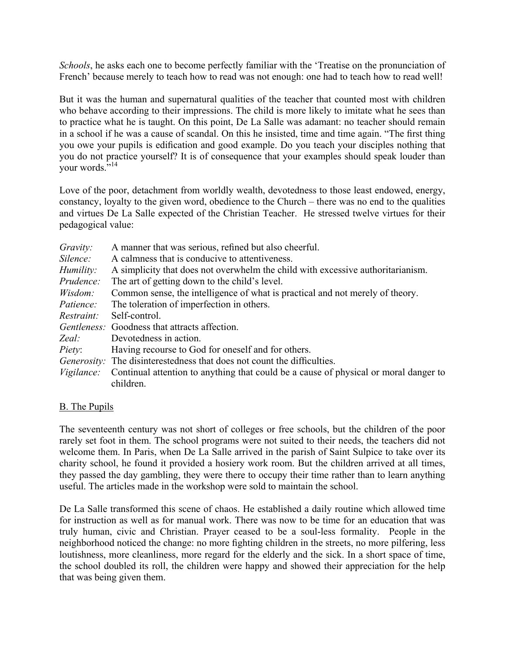*Schools*, he asks each one to become perfectly familiar with the 'Treatise on the pronunciation of French' because merely to teach how to read was not enough: one had to teach how to read well!

But it was the human and supernatural qualities of the teacher that counted most with children who behave according to their impressions. The child is more likely to imitate what he sees than to practice what he is taught. On this point, De La Salle was adamant: no teacher should remain in a school if he was a cause of scandal. On this he insisted, time and time again. "The first thing you owe your pupils is edification and good example. Do you teach your disciples nothing that you do not practice yourself? It is of consequence that your examples should speak louder than your words."14

Love of the poor, detachment from worldly wealth, devotedness to those least endowed, energy, constancy, loyalty to the given word, obedience to the Church – there was no end to the qualities and virtues De La Salle expected of the Christian Teacher. He stressed twelve virtues for their pedagogical value:

| A manner that was serious, refined but also cheerful.                                |
|--------------------------------------------------------------------------------------|
| A calmness that is conducive to attentiveness.                                       |
| A simplicity that does not overwhelm the child with excessive authoritarianism.      |
| The art of getting down to the child's level.                                        |
| Common sense, the intelligence of what is practical and not merely of theory.        |
| The toleration of imperfection in others.                                            |
|                                                                                      |
| <i>Gentleness:</i> Goodness that attracts affection.                                 |
|                                                                                      |
| Having recourse to God for oneself and for others.                                   |
| <i>Generosity:</i> The disinterestedness that does not count the difficulties.       |
| Continual attention to anything that could be a cause of physical or moral danger to |
|                                                                                      |

### B. The Pupils

The seventeenth century was not short of colleges or free schools, but the children of the poor rarely set foot in them. The school programs were not suited to their needs, the teachers did not welcome them. In Paris, when De La Salle arrived in the parish of Saint Sulpice to take over its charity school, he found it provided a hosiery work room. But the children arrived at all times, they passed the day gambling, they were there to occupy their time rather than to learn anything useful. The articles made in the workshop were sold to maintain the school.

De La Salle transformed this scene of chaos. He established a daily routine which allowed time for instruction as well as for manual work. There was now to be time for an education that was truly human, civic and Christian. Prayer ceased to be a soul-less formality. People in the neighborhood noticed the change: no more fighting children in the streets, no more pilfering, less loutishness, more cleanliness, more regard for the elderly and the sick. In a short space of time, the school doubled its roll, the children were happy and showed their appreciation for the help that was being given them.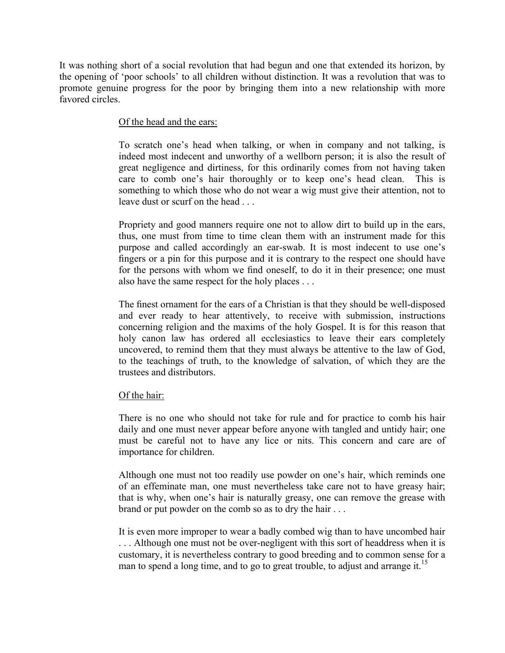It was nothing short of a social revolution that had begun and one that extended its horizon, by the opening of 'poor schools' to all children without distinction. It was a revolution that was to promote genuine progress for the poor by bringing them into a new relationship with more favored circles.

### Of the head and the ears:

To scratch one's head when talking, or when in company and not talking, is indeed most indecent and unworthy of a wellborn person; it is also the result of great negligence and dirtiness, for this ordinarily comes from not having taken care to comb one's hair thoroughly or to keep one's head clean. This is something to which those who do not wear a wig must give their attention, not to leave dust or scurf on the head . . .

Propriety and good manners require one not to allow dirt to build up in the ears, thus, one must from time to time clean them with an instrument made for this purpose and called accordingly an ear-swab. It is most indecent to use one's fingers or a pin for this purpose and it is contrary to the respect one should have for the persons with whom we find oneself, to do it in their presence; one must also have the same respect for the holy places . . .

The finest ornament for the ears of a Christian is that they should be well-disposed and ever ready to hear attentively, to receive with submission, instructions concerning religion and the maxims of the holy Gospel. It is for this reason that holy canon law has ordered all ecclesiastics to leave their ears completely uncovered, to remind them that they must always be attentive to the law of God, to the teachings of truth, to the knowledge of salvation, of which they are the trustees and distributors.

#### Of the hair:

There is no one who should not take for rule and for practice to comb his hair daily and one must never appear before anyone with tangled and untidy hair; one must be careful not to have any lice or nits. This concern and care are of importance for children.

Although one must not too readily use powder on one's hair, which reminds one of an effeminate man, one must nevertheless take care not to have greasy hair; that is why, when one's hair is naturally greasy, one can remove the grease with brand or put powder on the comb so as to dry the hair . . .

It is even more improper to wear a badly combed wig than to have uncombed hair . . . Although one must not be over-negligent with this sort of headdress when it is customary, it is nevertheless contrary to good breeding and to common sense for a man to spend a long time, and to go to great trouble, to adjust and arrange it.<sup>15</sup>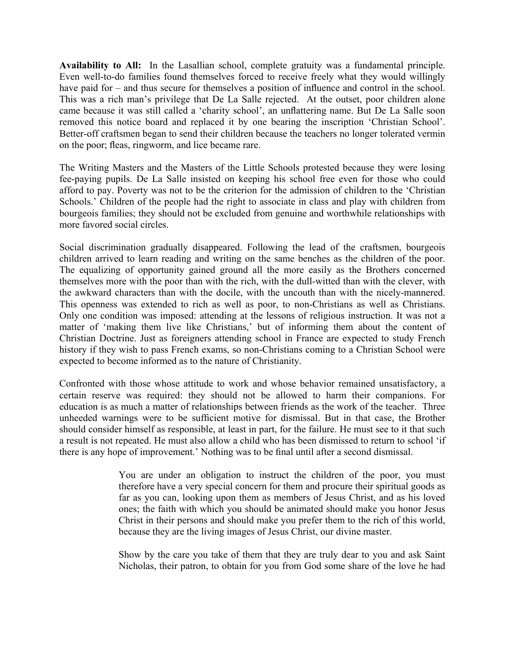**Availability to All:** In the Lasallian school, complete gratuity was a fundamental principle. Even well-to-do families found themselves forced to receive freely what they would willingly have paid for – and thus secure for themselves a position of influence and control in the school. This was a rich man's privilege that De La Salle rejected. At the outset, poor children alone came because it was still called a 'charity school', an unflattering name. But De La Salle soon removed this notice board and replaced it by one bearing the inscription 'Christian School'. Better-off craftsmen began to send their children because the teachers no longer tolerated vermin on the poor; fleas, ringworm, and lice became rare.

The Writing Masters and the Masters of the Little Schools protested because they were losing fee-paying pupils. De La Salle insisted on keeping his school free even for those who could afford to pay. Poverty was not to be the criterion for the admission of children to the 'Christian Schools.' Children of the people had the right to associate in class and play with children from bourgeois families; they should not be excluded from genuine and worthwhile relationships with more favored social circles.

Social discrimination gradually disappeared. Following the lead of the craftsmen, bourgeois children arrived to learn reading and writing on the same benches as the children of the poor. The equalizing of opportunity gained ground all the more easily as the Brothers concerned themselves more with the poor than with the rich, with the dull-witted than with the clever, with the awkward characters than with the docile, with the uncouth than with the nicely-mannered. This openness was extended to rich as well as poor, to non-Christians as well as Christians. Only one condition was imposed: attending at the lessons of religious instruction. It was not a matter of 'making them live like Christians,' but of informing them about the content of Christian Doctrine. Just as foreigners attending school in France are expected to study French history if they wish to pass French exams, so non-Christians coming to a Christian School were expected to become informed as to the nature of Christianity.

Confronted with those whose attitude to work and whose behavior remained unsatisfactory, a certain reserve was required: they should not be allowed to harm their companions. For education is as much a matter of relationships between friends as the work of the teacher. Three unheeded warnings were to be sufficient motive for dismissal. But in that case, the Brother should consider himself as responsible, at least in part, for the failure. He must see to it that such a result is not repeated. He must also allow a child who has been dismissed to return to school 'if there is any hope of improvement.' Nothing was to be final until after a second dismissal.

> You are under an obligation to instruct the children of the poor, you must therefore have a very special concern for them and procure their spiritual goods as far as you can, looking upon them as members of Jesus Christ, and as his loved ones; the faith with which you should be animated should make you honor Jesus Christ in their persons and should make you prefer them to the rich of this world, because they are the living images of Jesus Christ, our divine master.

> Show by the care you take of them that they are truly dear to you and ask Saint Nicholas, their patron, to obtain for you from God some share of the love he had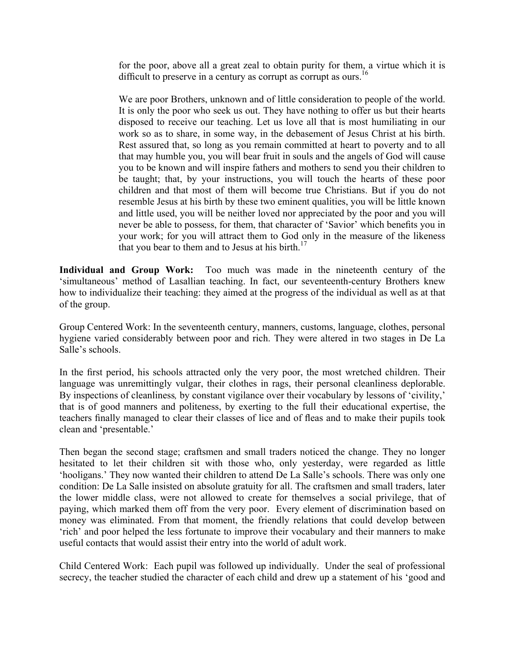for the poor, above all a great zeal to obtain purity for them, a virtue which it is difficult to preserve in a century as corrupt as corrupt as ours.<sup>16</sup>

We are poor Brothers, unknown and of little consideration to people of the world. It is only the poor who seek us out. They have nothing to offer us but their hearts disposed to receive our teaching. Let us love all that is most humiliating in our work so as to share, in some way, in the debasement of Jesus Christ at his birth. Rest assured that, so long as you remain committed at heart to poverty and to all that may humble you, you will bear fruit in souls and the angels of God will cause you to be known and will inspire fathers and mothers to send you their children to be taught; that, by your instructions, you will touch the hearts of these poor children and that most of them will become true Christians. But if you do not resemble Jesus at his birth by these two eminent qualities, you will be little known and little used, you will be neither loved nor appreciated by the poor and you will never be able to possess, for them, that character of 'Savior' which benefits you in your work; for you will attract them to God only in the measure of the likeness that you bear to them and to Jesus at his birth.<sup>17</sup>

**Individual and Group Work:** Too much was made in the nineteenth century of the 'simultaneous' method of Lasallian teaching. In fact, our seventeenth-century Brothers knew how to individualize their teaching: they aimed at the progress of the individual as well as at that of the group.

Group Centered Work: In the seventeenth century, manners, customs, language, clothes, personal hygiene varied considerably between poor and rich. They were altered in two stages in De La Salle's schools.

In the first period, his schools attracted only the very poor, the most wretched children. Their language was unremittingly vulgar, their clothes in rags, their personal cleanliness deplorable. By inspections of cleanliness*,* by constant vigilance over their vocabulary by lessons of 'civility,' that is of good manners and politeness, by exerting to the full their educational expertise, the teachers finally managed to clear their classes of lice and of fleas and to make their pupils took clean and 'presentable.'

Then began the second stage; craftsmen and small traders noticed the change. They no longer hesitated to let their children sit with those who, only yesterday, were regarded as little 'hooligans.' They now wanted their children to attend De La Salle's schools. There was only one condition: De La Salle insisted on absolute gratuity for all. The craftsmen and small traders, later the lower middle class, were not allowed to create for themselves a social privilege, that of paying, which marked them off from the very poor. Every element of discrimination based on money was eliminated. From that moment, the friendly relations that could develop between 'rich' and poor helped the less fortunate to improve their vocabulary and their manners to make useful contacts that would assist their entry into the world of adult work.

Child Centered Work: Each pupil was followed up individually. Under the seal of professional secrecy, the teacher studied the character of each child and drew up a statement of his 'good and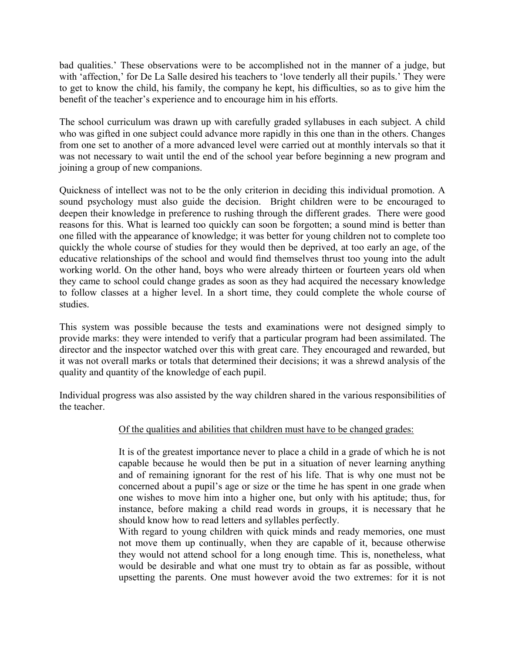bad qualities.' These observations were to be accomplished not in the manner of a judge, but with 'affection,' for De La Salle desired his teachers to 'love tenderly all their pupils.' They were to get to know the child, his family, the company he kept, his difficulties, so as to give him the benefit of the teacher's experience and to encourage him in his efforts.

The school curriculum was drawn up with carefully graded syllabuses in each subject. A child who was gifted in one subject could advance more rapidly in this one than in the others. Changes from one set to another of a more advanced level were carried out at monthly intervals so that it was not necessary to wait until the end of the school year before beginning a new program and joining a group of new companions.

Quickness of intellect was not to be the only criterion in deciding this individual promotion. A sound psychology must also guide the decision. Bright children were to be encouraged to deepen their knowledge in preference to rushing through the different grades. There were good reasons for this. What is learned too quickly can soon be forgotten; a sound mind is better than one filled with the appearance of knowledge; it was better for young children not to complete too quickly the whole course of studies for they would then be deprived, at too early an age, of the educative relationships of the school and would find themselves thrust too young into the adult working world. On the other hand, boys who were already thirteen or fourteen years old when they came to school could change grades as soon as they had acquired the necessary knowledge to follow classes at a higher level. In a short time, they could complete the whole course of studies.

This system was possible because the tests and examinations were not designed simply to provide marks: they were intended to verify that a particular program had been assimilated. The director and the inspector watched over this with great care. They encouraged and rewarded, but it was not overall marks or totals that determined their decisions; it was a shrewd analysis of the quality and quantity of the knowledge of each pupil.

Individual progress was also assisted by the way children shared in the various responsibilities of the teacher.

### Of the qualities and abilities that children must have to be changed grades:

It is of the greatest importance never to place a child in a grade of which he is not capable because he would then be put in a situation of never learning anything and of remaining ignorant for the rest of his life. That is why one must not be concerned about a pupil's age or size or the time he has spent in one grade when one wishes to move him into a higher one, but only with his aptitude; thus, for instance, before making a child read words in groups, it is necessary that he should know how to read letters and syllables perfectly.

With regard to young children with quick minds and ready memories, one must not move them up continually, when they are capable of it, because otherwise they would not attend school for a long enough time. This is, nonetheless, what would be desirable and what one must try to obtain as far as possible, without upsetting the parents. One must however avoid the two extremes: for it is not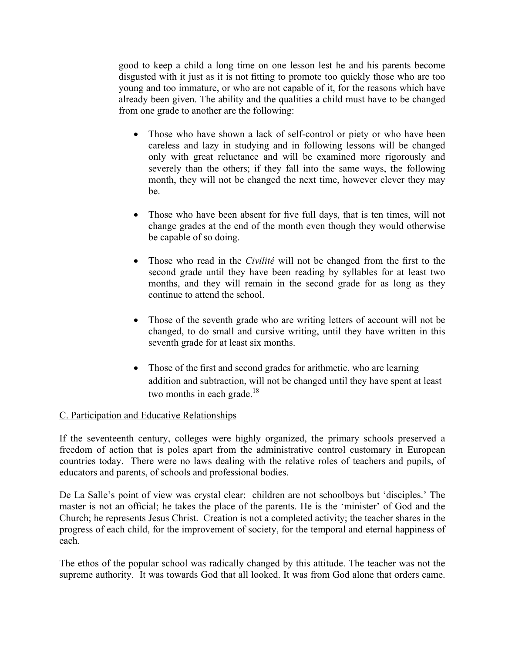good to keep a child a long time on one lesson lest he and his parents become disgusted with it just as it is not fitting to promote too quickly those who are too young and too immature, or who are not capable of it, for the reasons which have already been given. The ability and the qualities a child must have to be changed from one grade to another are the following:

- Those who have shown a lack of self-control or piety or who have been careless and lazy in studying and in following lessons will be changed only with great reluctance and will be examined more rigorously and severely than the others; if they fall into the same ways, the following month, they will not be changed the next time, however clever they may be.
- Those who have been absent for five full days, that is ten times, will not change grades at the end of the month even though they would otherwise be capable of so doing.
- Those who read in the *Civilité* will not be changed from the first to the second grade until they have been reading by syllables for at least two months, and they will remain in the second grade for as long as they continue to attend the school.
- Those of the seventh grade who are writing letters of account will not be changed, to do small and cursive writing, until they have written in this seventh grade for at least six months.
- Those of the first and second grades for arithmetic, who are learning addition and subtraction, will not be changed until they have spent at least two months in each grade. $18$

### C. Participation and Educative Relationships

If the seventeenth century, colleges were highly organized, the primary schools preserved a freedom of action that is poles apart from the administrative control customary in European countries today. There were no laws dealing with the relative roles of teachers and pupils, of educators and parents, of schools and professional bodies.

De La Salle's point of view was crystal clear: children are not schoolboys but 'disciples.' The master is not an official; he takes the place of the parents. He is the 'minister' of God and the Church; he represents Jesus Christ. Creation is not a completed activity; the teacher shares in the progress of each child, for the improvement of society, for the temporal and eternal happiness of each.

The ethos of the popular school was radically changed by this attitude. The teacher was not the supreme authority. It was towards God that all looked. It was from God alone that orders came.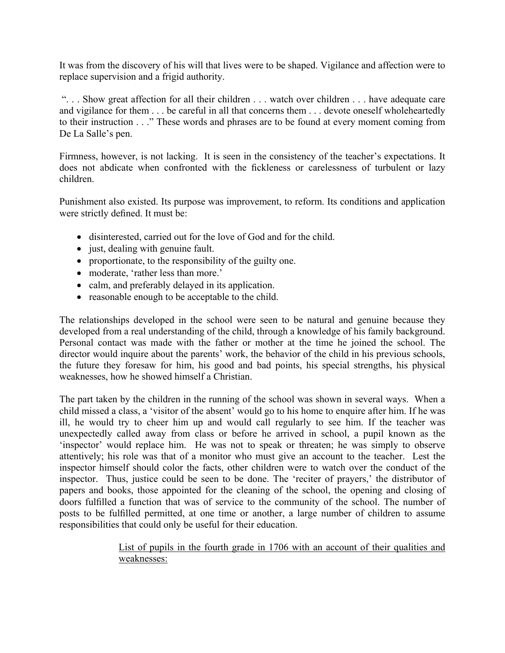It was from the discovery of his will that lives were to be shaped. Vigilance and affection were to replace supervision and a frigid authority.

 ". . . Show great affection for all their children . . . watch over children . . . have adequate care and vigilance for them . . . be careful in all that concerns them . . . devote oneself wholeheartedly to their instruction . . ." These words and phrases are to be found at every moment coming from De La Salle's pen.

Firmness, however, is not lacking. It is seen in the consistency of the teacher's expectations. It does not abdicate when confronted with the fickleness or carelessness of turbulent or lazy children.

Punishment also existed. Its purpose was improvement, to reform. Its conditions and application were strictly defined. It must be:

- disinterested, carried out for the love of God and for the child.
- just, dealing with genuine fault.
- proportionate, to the responsibility of the guilty one.
- moderate, 'rather less than more.'
- calm, and preferably delayed in its application.
- reasonable enough to be acceptable to the child.

The relationships developed in the school were seen to be natural and genuine because they developed from a real understanding of the child, through a knowledge of his family background. Personal contact was made with the father or mother at the time he joined the school. The director would inquire about the parents' work, the behavior of the child in his previous schools, the future they foresaw for him, his good and bad points, his special strengths, his physical weaknesses, how he showed himself a Christian.

The part taken by the children in the running of the school was shown in several ways. When a child missed a class, a 'visitor of the absent' would go to his home to enquire after him. If he was ill, he would try to cheer him up and would call regularly to see him. If the teacher was unexpectedly called away from class or before he arrived in school, a pupil known as the 'inspector' would replace him. He was not to speak or threaten; he was simply to observe attentively; his role was that of a monitor who must give an account to the teacher. Lest the inspector himself should color the facts, other children were to watch over the conduct of the inspector. Thus, justice could be seen to be done. The 'reciter of prayers,' the distributor of papers and books, those appointed for the cleaning of the school, the opening and closing of doors fulfilled a function that was of service to the community of the school. The number of posts to be fulfilled permitted, at one time or another, a large number of children to assume responsibilities that could only be useful for their education.

> List of pupils in the fourth grade in 1706 with an account of their qualities and weaknesses: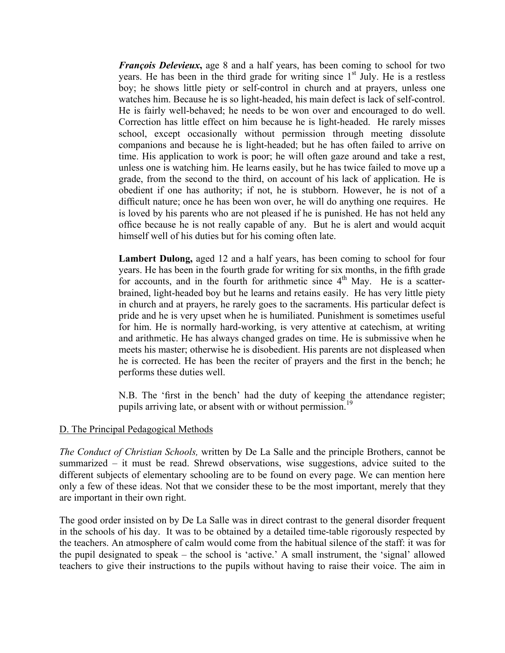*François Delevieux*, age 8 and a half years, has been coming to school for two years. He has been in the third grade for writing since  $1<sup>st</sup>$  July. He is a restless boy; he shows little piety or self-control in church and at prayers, unless one watches him. Because he is so light-headed, his main defect is lack of self-control. He is fairly well-behaved; he needs to be won over and encouraged to do well. Correction has little effect on him because he is light-headed. He rarely misses school, except occasionally without permission through meeting dissolute companions and because he is light-headed; but he has often failed to arrive on time. His application to work is poor; he will often gaze around and take a rest, unless one is watching him. He learns easily, but he has twice failed to move up a grade, from the second to the third, on account of his lack of application. He is obedient if one has authority; if not, he is stubborn. However, he is not of a difficult nature; once he has been won over, he will do anything one requires. He is loved by his parents who are not pleased if he is punished. He has not held any office because he is not really capable of any. But he is alert and would acquit himself well of his duties but for his coming often late.

**Lambert Dulong,** aged 12 and a half years, has been coming to school for four years. He has been in the fourth grade for writing for six months, in the fifth grade for accounts, and in the fourth for arithmetic since  $4<sup>th</sup>$  May. He is a scatterbrained, light-headed boy but he learns and retains easily. He has very little piety in church and at prayers, he rarely goes to the sacraments. His particular defect is pride and he is very upset when he is humiliated. Punishment is sometimes useful for him. He is normally hard-working, is very attentive at catechism, at writing and arithmetic. He has always changed grades on time. He is submissive when he meets his master; otherwise he is disobedient. His parents are not displeased when he is corrected. He has been the reciter of prayers and the first in the bench; he performs these duties well.

N.B. The 'first in the bench' had the duty of keeping the attendance register; pupils arriving late, or absent with or without permission.<sup>19</sup>

#### D. The Principal Pedagogical Methods

*The Conduct of Christian Schools,* written by De La Salle and the principle Brothers, cannot be summarized – it must be read. Shrewd observations, wise suggestions, advice suited to the different subjects of elementary schooling are to be found on every page. We can mention here only a few of these ideas. Not that we consider these to be the most important, merely that they are important in their own right.

The good order insisted on by De La Salle was in direct contrast to the general disorder frequent in the schools of his day. It was to be obtained by a detailed time-table rigorously respected by the teachers. An atmosphere of calm would come from the habitual silence of the staff: it was for the pupil designated to speak – the school is 'active.' A small instrument, the 'signal' allowed teachers to give their instructions to the pupils without having to raise their voice. The aim in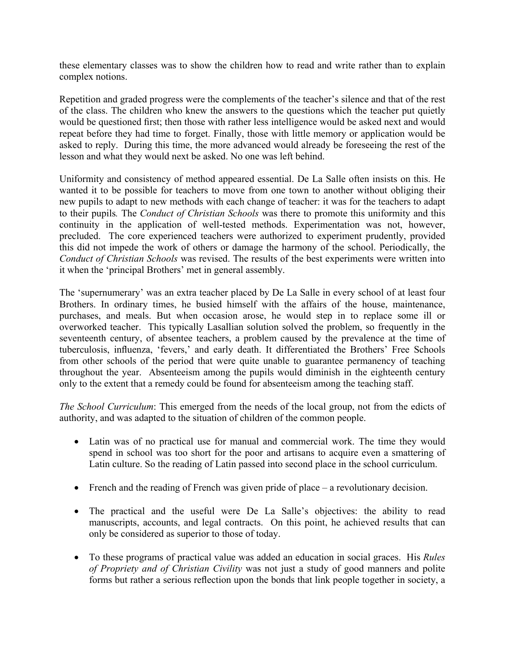these elementary classes was to show the children how to read and write rather than to explain complex notions.

Repetition and graded progress were the complements of the teacher's silence and that of the rest of the class. The children who knew the answers to the questions which the teacher put quietly would be questioned first; then those with rather less intelligence would be asked next and would repeat before they had time to forget. Finally, those with little memory or application would be asked to reply. During this time, the more advanced would already be foreseeing the rest of the lesson and what they would next be asked. No one was left behind.

Uniformity and consistency of method appeared essential. De La Salle often insists on this. He wanted it to be possible for teachers to move from one town to another without obliging their new pupils to adapt to new methods with each change of teacher: it was for the teachers to adapt to their pupils*.* The *Conduct of Christian Schools* was there to promote this uniformity and this continuity in the application of well-tested methods. Experimentation was not, however, precluded. The core experienced teachers were authorized to experiment prudently, provided this did not impede the work of others or damage the harmony of the school. Periodically, the *Conduct of Christian Schools* was revised. The results of the best experiments were written into it when the 'principal Brothers' met in general assembly.

The 'supernumerary' was an extra teacher placed by De La Salle in every school of at least four Brothers. In ordinary times, he busied himself with the affairs of the house, maintenance, purchases, and meals. But when occasion arose, he would step in to replace some ill or overworked teacher. This typically Lasallian solution solved the problem, so frequently in the seventeenth century, of absentee teachers, a problem caused by the prevalence at the time of tuberculosis, influenza, 'fevers,' and early death. It differentiated the Brothers' Free Schools from other schools of the period that were quite unable to guarantee permanency of teaching throughout the year. Absenteeism among the pupils would diminish in the eighteenth century only to the extent that a remedy could be found for absenteeism among the teaching staff.

*The School Curriculum*: This emerged from the needs of the local group, not from the edicts of authority, and was adapted to the situation of children of the common people.

- Latin was of no practical use for manual and commercial work. The time they would spend in school was too short for the poor and artisans to acquire even a smattering of Latin culture. So the reading of Latin passed into second place in the school curriculum.
- French and the reading of French was given pride of place a revolutionary decision.
- The practical and the useful were De La Salle's objectives: the ability to read manuscripts, accounts, and legal contracts. On this point, he achieved results that can only be considered as superior to those of today.
- To these programs of practical value was added an education in social graces. His *Rules of Propriety and of Christian Civility* was not just a study of good manners and polite forms but rather a serious reflection upon the bonds that link people together in society, a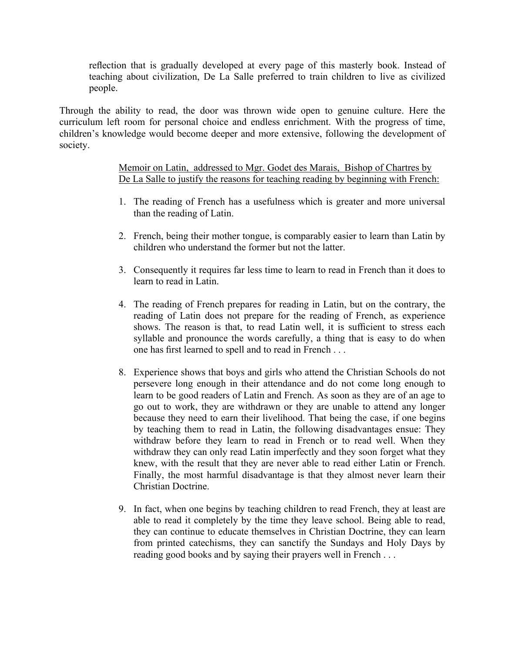reflection that is gradually developed at every page of this masterly book. Instead of teaching about civilization, De La Salle preferred to train children to live as civilized people.

Through the ability to read, the door was thrown wide open to genuine culture. Here the curriculum left room for personal choice and endless enrichment. With the progress of time, children's knowledge would become deeper and more extensive, following the development of society.

> Memoir on Latin, addressed to Mgr. Godet des Marais, Bishop of Chartres by De La Salle to justify the reasons for teaching reading by beginning with French:

- 1. The reading of French has a usefulness which is greater and more universal than the reading of Latin.
- 2. French, being their mother tongue, is comparably easier to learn than Latin by children who understand the former but not the latter.
- 3. Consequently it requires far less time to learn to read in French than it does to learn to read in Latin.
- 4. The reading of French prepares for reading in Latin, but on the contrary, the reading of Latin does not prepare for the reading of French, as experience shows. The reason is that, to read Latin well, it is sufficient to stress each syllable and pronounce the words carefully, a thing that is easy to do when one has first learned to spell and to read in French . . .
- 8. Experience shows that boys and girls who attend the Christian Schools do not persevere long enough in their attendance and do not come long enough to learn to be good readers of Latin and French. As soon as they are of an age to go out to work, they are withdrawn or they are unable to attend any longer because they need to earn their livelihood. That being the case, if one begins by teaching them to read in Latin, the following disadvantages ensue: They withdraw before they learn to read in French or to read well. When they withdraw they can only read Latin imperfectly and they soon forget what they knew, with the result that they are never able to read either Latin or French. Finally, the most harmful disadvantage is that they almost never learn their Christian Doctrine.
- 9. In fact, when one begins by teaching children to read French, they at least are able to read it completely by the time they leave school. Being able to read, they can continue to educate themselves in Christian Doctrine, they can learn from printed catechisms, they can sanctify the Sundays and Holy Days by reading good books and by saying their prayers well in French . . .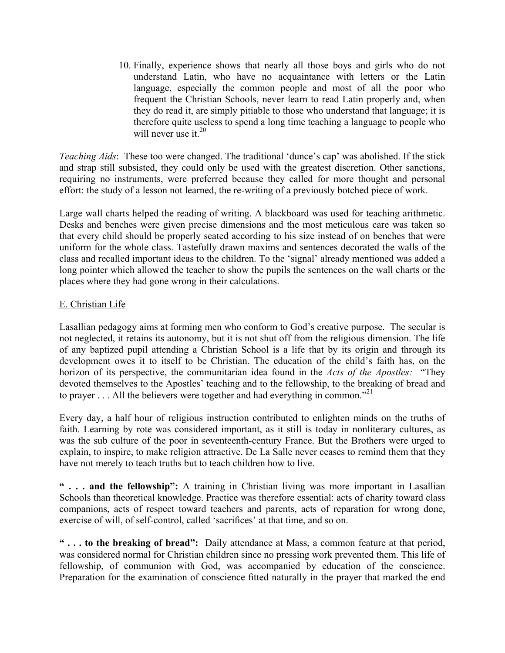10. Finally, experience shows that nearly all those boys and girls who do not understand Latin, who have no acquaintance with letters or the Latin language, especially the common people and most of all the poor who frequent the Christian Schools, never learn to read Latin properly and, when they do read it, are simply pitiable to those who understand that language; it is therefore quite useless to spend a long time teaching a language to people who will never use it  $20$ 

*Teaching Aids*: These too were changed. The traditional 'dunce's cap' was abolished. If the stick and strap still subsisted, they could only be used with the greatest discretion. Other sanctions, requiring no instruments, were preferred because they called for more thought and personal effort: the study of a lesson not learned, the re-writing of a previously botched piece of work.

Large wall charts helped the reading of writing. A blackboard was used for teaching arithmetic. Desks and benches were given precise dimensions and the most meticulous care was taken so that every child should be properly seated according to his size instead of on benches that were uniform for the whole class. Tastefully drawn maxims and sentences decorated the walls of the class and recalled important ideas to the children. To the 'signal' already mentioned was added a long pointer which allowed the teacher to show the pupils the sentences on the wall charts or the places where they had gone wrong in their calculations.

### E. Christian Life

Lasallian pedagogy aims at forming men who conform to God's creative purpose. The secular is not neglected, it retains its autonomy, but it is not shut off from the religious dimension. The life of any baptized pupil attending a Christian School is a life that by its origin and through its development owes it to itself to be Christian. The education of the child's faith has, on the horizon of its perspective, the communitarian idea found in the *Acts of the Apostles:* "They devoted themselves to the Apostles' teaching and to the fellowship, to the breaking of bread and to prayer . . . All the believers were together and had everything in common.<sup>"21</sup>

Every day, a half hour of religious instruction contributed to enlighten minds on the truths of faith. Learning by rote was considered important, as it still is today in nonliterary cultures, as was the sub culture of the poor in seventeenth-century France. But the Brothers were urged to explain, to inspire, to make religion attractive. De La Salle never ceases to remind them that they have not merely to teach truths but to teach children how to live.

**" . . . and the fellowship":** A training in Christian living was more important in Lasallian Schools than theoretical knowledge. Practice was therefore essential: acts of charity toward class companions, acts of respect toward teachers and parents, acts of reparation for wrong done, exercise of will, of self-control, called 'sacrifices' at that time, and so on.

**" . . . to the breaking of bread":** Daily attendance at Mass, a common feature at that period, was considered normal for Christian children since no pressing work prevented them. This life of fellowship, of communion with God, was accompanied by education of the conscience. Preparation for the examination of conscience fitted naturally in the prayer that marked the end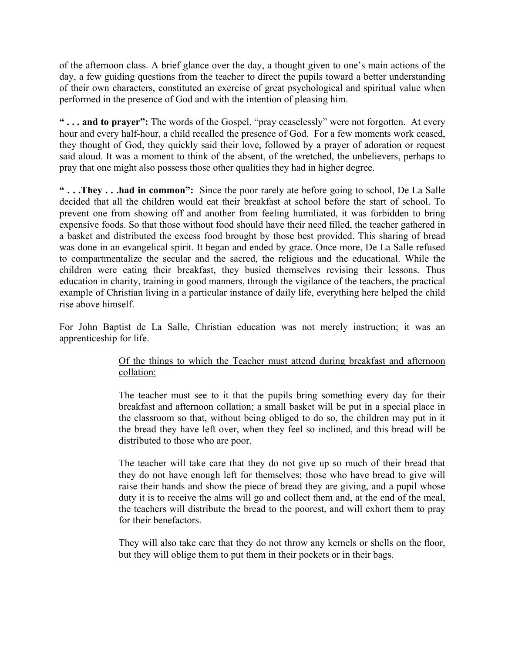of the afternoon class. A brief glance over the day, a thought given to one's main actions of the day, a few guiding questions from the teacher to direct the pupils toward a better understanding of their own characters, constituted an exercise of great psychological and spiritual value when performed in the presence of God and with the intention of pleasing him.

**" . . . and to prayer":** The words of the Gospel, "pray ceaselessly" were not forgotten. At every hour and every half-hour, a child recalled the presence of God. For a few moments work ceased, they thought of God, they quickly said their love, followed by a prayer of adoration or request said aloud. It was a moment to think of the absent, of the wretched, the unbelievers, perhaps to pray that one might also possess those other qualities they had in higher degree.

**" . . .They . . .had in common":** Since the poor rarely ate before going to school, De La Salle decided that all the children would eat their breakfast at school before the start of school. To prevent one from showing off and another from feeling humiliated, it was forbidden to bring expensive foods. So that those without food should have their need filled, the teacher gathered in a basket and distributed the excess food brought by those best provided. This sharing of bread was done in an evangelical spirit. It began and ended by grace. Once more, De La Salle refused to compartmentalize the secular and the sacred, the religious and the educational. While the children were eating their breakfast, they busied themselves revising their lessons. Thus education in charity, training in good manners, through the vigilance of the teachers, the practical example of Christian living in a particular instance of daily life, everything here helped the child rise above himself.

For John Baptist de La Salle, Christian education was not merely instruction; it was an apprenticeship for life.

### Of the things to which the Teacher must attend during breakfast and afternoon collation:

The teacher must see to it that the pupils bring something every day for their breakfast and afternoon collation; a small basket will be put in a special place in the classroom so that, without being obliged to do so, the children may put in it the bread they have left over, when they feel so inclined, and this bread will be distributed to those who are poor.

The teacher will take care that they do not give up so much of their bread that they do not have enough left for themselves; those who have bread to give will raise their hands and show the piece of bread they are giving, and a pupil whose duty it is to receive the alms will go and collect them and, at the end of the meal, the teachers will distribute the bread to the poorest, and will exhort them to pray for their benefactors.

They will also take care that they do not throw any kernels or shells on the floor, but they will oblige them to put them in their pockets or in their bags.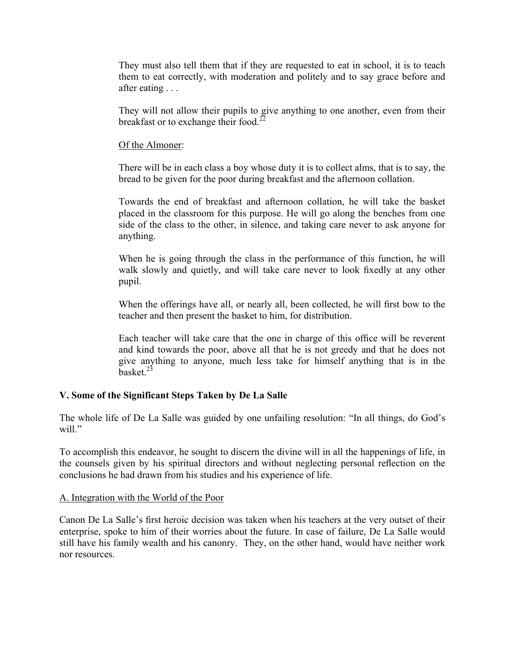They must also tell them that if they are requested to eat in school, it is to teach them to eat correctly, with moderation and politely and to say grace before and after eating . . .

They will not allow their pupils to give anything to one another, even from their breakfast or to exchange their food.<sup>2</sup>

### Of the Almoner:

There will be in each class a boy whose duty it is to collect alms, that is to say, the bread to be given for the poor during breakfast and the afternoon collation.

Towards the end of breakfast and afternoon collation, he will take the basket placed in the classroom for this purpose. He will go along the benches from one side of the class to the other, in silence, and taking care never to ask anyone for anything.

When he is going through the class in the performance of this function, he will walk slowly and quietly, and will take care never to look fixedly at any other pupil.

When the offerings have all, or nearly all, been collected, he will first bow to the teacher and then present the basket to him, for distribution.

Each teacher will take care that the one in charge of this office will be reverent and kind towards the poor, above all that he is not greedy and that he does not give anything to anyone, much less take for himself anything that is in the  $b$ asket $23$ 

#### **V. Some of the Significant Steps Taken by De La Salle**

The whole life of De La Salle was guided by one unfailing resolution: "In all things, do God's will."

To accomplish this endeavor, he sought to discern the divine will in all the happenings of life, in the counsels given by his spiritual directors and without neglecting personal reflection on the conclusions he had drawn from his studies and his experience of life.

#### A. Integration with the World of the Poor

Canon De La Salle's first heroic decision was taken when his teachers at the very outset of their enterprise, spoke to him of their worries about the future. In case of failure, De La Salle would still have his family wealth and his canonry. They, on the other hand, would have neither work nor resources.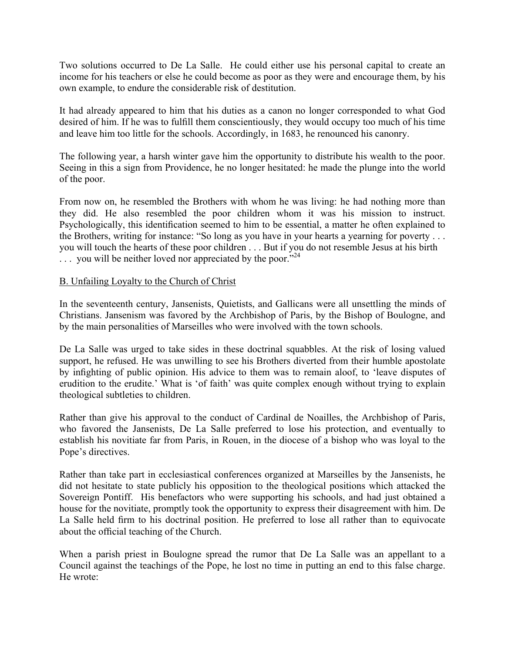Two solutions occurred to De La Salle. He could either use his personal capital to create an income for his teachers or else he could become as poor as they were and encourage them, by his own example, to endure the considerable risk of destitution.

It had already appeared to him that his duties as a canon no longer corresponded to what God desired of him. If he was to fulfill them conscientiously, they would occupy too much of his time and leave him too little for the schools. Accordingly, in 1683, he renounced his canonry.

The following year, a harsh winter gave him the opportunity to distribute his wealth to the poor. Seeing in this a sign from Providence, he no longer hesitated: he made the plunge into the world of the poor.

From now on, he resembled the Brothers with whom he was living: he had nothing more than they did. He also resembled the poor children whom it was his mission to instruct. Psychologically, this identification seemed to him to be essential, a matter he often explained to the Brothers, writing for instance: "So long as you have in your hearts a yearning for poverty . . . you will touch the hearts of these poor children . . . But if you do not resemble Jesus at his birth  $\ldots$  you will be neither loved nor appreciated by the poor.<sup>24</sup>

### B. Unfailing Loyalty to the Church of Christ

In the seventeenth century, Jansenists, Quietists, and Gallicans were all unsettling the minds of Christians. Jansenism was favored by the Archbishop of Paris, by the Bishop of Boulogne, and by the main personalities of Marseilles who were involved with the town schools.

De La Salle was urged to take sides in these doctrinal squabbles. At the risk of losing valued support, he refused. He was unwilling to see his Brothers diverted from their humble apostolate by infighting of public opinion. His advice to them was to remain aloof, to 'leave disputes of erudition to the erudite.' What is 'of faith' was quite complex enough without trying to explain theological subtleties to children.

Rather than give his approval to the conduct of Cardinal de Noailles, the Archbishop of Paris, who favored the Jansenists, De La Salle preferred to lose his protection, and eventually to establish his novitiate far from Paris, in Rouen, in the diocese of a bishop who was loyal to the Pope's directives.

Rather than take part in ecclesiastical conferences organized at Marseilles by the Jansenists, he did not hesitate to state publicly his opposition to the theological positions which attacked the Sovereign Pontiff. His benefactors who were supporting his schools, and had just obtained a house for the novitiate, promptly took the opportunity to express their disagreement with him. De La Salle held firm to his doctrinal position. He preferred to lose all rather than to equivocate about the official teaching of the Church.

When a parish priest in Boulogne spread the rumor that De La Salle was an appellant to a Council against the teachings of the Pope, he lost no time in putting an end to this false charge. He wrote: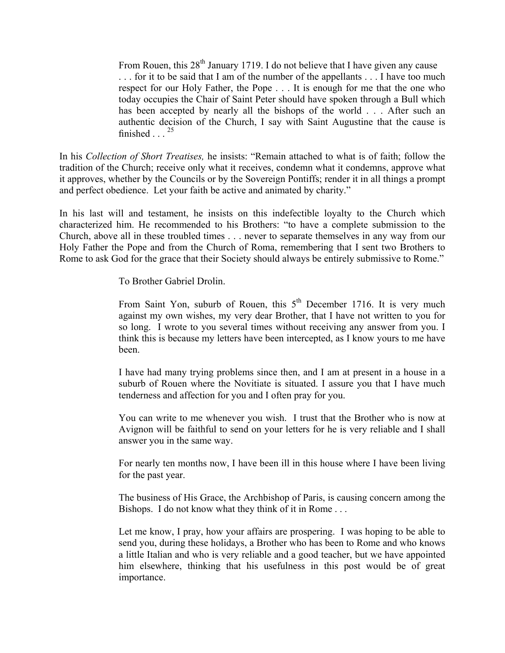From Rouen, this  $28<sup>th</sup>$  January 1719. I do not believe that I have given any cause . . . for it to be said that I am of the number of the appellants . . . I have too much respect for our Holy Father, the Pope . . . It is enough for me that the one who today occupies the Chair of Saint Peter should have spoken through a Bull which has been accepted by nearly all the bishops of the world . . . After such an authentic decision of the Church, I say with Saint Augustine that the cause is finished  $\ldots^{25}$ 

In his *Collection of Short Treatises,* he insists: "Remain attached to what is of faith; follow the tradition of the Church; receive only what it receives, condemn what it condemns, approve what it approves, whether by the Councils or by the Sovereign Pontiffs; render it in all things a prompt and perfect obedience. Let your faith be active and animated by charity."

In his last will and testament, he insists on this indefectible loyalty to the Church which characterized him. He recommended to his Brothers: "to have a complete submission to the Church, above all in these troubled times . . . never to separate themselves in any way from our Holy Father the Pope and from the Church of Roma, remembering that I sent two Brothers to Rome to ask God for the grace that their Society should always be entirely submissive to Rome."

To Brother Gabriel Drolin.

From Saint Yon, suburb of Rouen, this  $5<sup>th</sup>$  December 1716. It is very much against my own wishes, my very dear Brother, that I have not written to you for so long. I wrote to you several times without receiving any answer from you. I think this is because my letters have been intercepted, as I know yours to me have been.

I have had many trying problems since then, and I am at present in a house in a suburb of Rouen where the Novitiate is situated. I assure you that I have much tenderness and affection for you and I often pray for you.

You can write to me whenever you wish. I trust that the Brother who is now at Avignon will be faithful to send on your letters for he is very reliable and I shall answer you in the same way.

For nearly ten months now, I have been ill in this house where I have been living for the past year.

The business of His Grace, the Archbishop of Paris, is causing concern among the Bishops. I do not know what they think of it in Rome . . .

Let me know, I pray, how your affairs are prospering. I was hoping to be able to send you, during these holidays, a Brother who has been to Rome and who knows a little Italian and who is very reliable and a good teacher, but we have appointed him elsewhere, thinking that his usefulness in this post would be of great importance.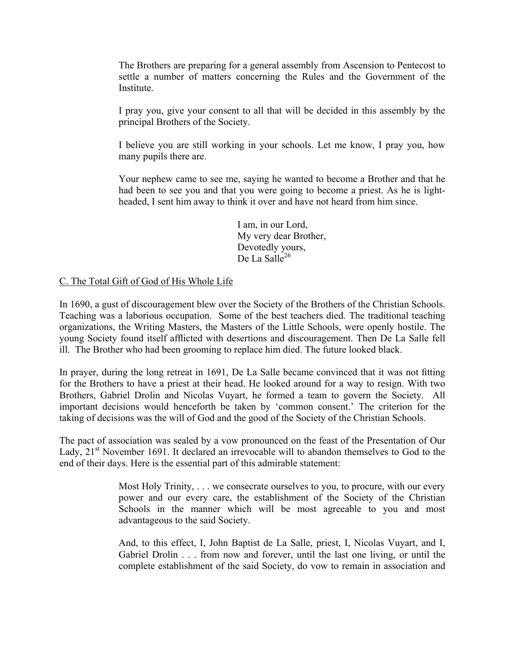The Brothers are preparing for a general assembly from Ascension to Pentecost to settle a number of matters concerning the Rules and the Government of the Institute.

I pray you, give your consent to all that will be decided in this assembly by the principal Brothers of the Society.

I believe you are still working in your schools. Let me know, I pray you, how many pupils there are.

Your nephew came to see me, saying he wanted to become a Brother and that he had been to see you and that you were going to become a priest. As he is lightheaded, I sent him away to think it over and have not heard from him since.

> I am, in our Lord, My very dear Brother, Devotedly yours, De La Salle $^{26}$

### C. The Total Gift of God of His Whole Life

In 1690, a gust of discouragement blew over the Society of the Brothers of the Christian Schools. Teaching was a laborious occupation. Some of the best teachers died. The traditional teaching organizations, the Writing Masters, the Masters of the Little Schools, were openly hostile. The young Society found itself afflicted with desertions and discouragement. Then De La Salle fell ill. The Brother who had been grooming to replace him died. The future looked black.

In prayer, during the long retreat in 1691, De La Salle became convinced that it was not fitting for the Brothers to have a priest at their head. He looked around for a way to resign. With two Brothers, Gabriel Drolin and Nicolas Vuyart, he formed a team to govern the Society. All important decisions would henceforth be taken by 'common consent.' The criterion for the taking of decisions was the will of God and the good of the Society of the Christian Schools.

The pact of association was sealed by a vow pronounced on the feast of the Presentation of Our Lady, 21<sup>st</sup> November 1691. It declared an irrevocable will to abandon themselves to God to the end of their days. Here is the essential part of this admirable statement:

> Most Holy Trinity, . . . we consecrate ourselves to you, to procure, with our every power and our every care, the establishment of the Society of the Christian Schools in the manner which will be most agreeable to you and most advantageous to the said Society.

> And, to this effect, I, John Baptist de La Salle, priest, I, Nicolas Vuyart, and I, Gabriel Drolin . . . from now and forever, until the last one living, or until the complete establishment of the said Society, do vow to remain in association and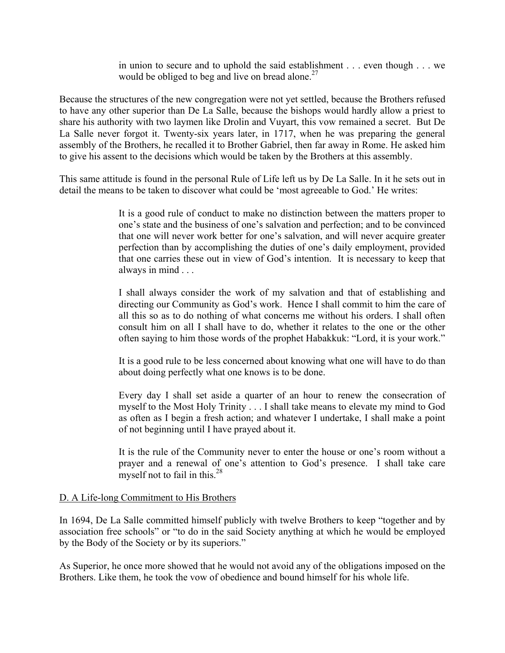in union to secure and to uphold the said establishment . . . even though . . . we would be obliged to beg and live on bread alone.<sup>27</sup>

Because the structures of the new congregation were not yet settled, because the Brothers refused to have any other superior than De La Salle, because the bishops would hardly allow a priest to share his authority with two laymen like Drolin and Vuyart, this vow remained a secret. But De La Salle never forgot it. Twenty-six years later, in 1717, when he was preparing the general assembly of the Brothers, he recalled it to Brother Gabriel, then far away in Rome. He asked him to give his assent to the decisions which would be taken by the Brothers at this assembly.

This same attitude is found in the personal Rule of Life left us by De La Salle. In it he sets out in detail the means to be taken to discover what could be 'most agreeable to God.' He writes:

> It is a good rule of conduct to make no distinction between the matters proper to one's state and the business of one's salvation and perfection; and to be convinced that one will never work better for one's salvation, and will never acquire greater perfection than by accomplishing the duties of one's daily employment, provided that one carries these out in view of God's intention. It is necessary to keep that always in mind . . .

> I shall always consider the work of my salvation and that of establishing and directing our Community as God's work. Hence I shall commit to him the care of all this so as to do nothing of what concerns me without his orders. I shall often consult him on all I shall have to do, whether it relates to the one or the other often saying to him those words of the prophet Habakkuk: "Lord, it is your work."

> It is a good rule to be less concerned about knowing what one will have to do than about doing perfectly what one knows is to be done.

> Every day I shall set aside a quarter of an hour to renew the consecration of myself to the Most Holy Trinity . . . I shall take means to elevate my mind to God as often as I begin a fresh action; and whatever I undertake, I shall make a point of not beginning until I have prayed about it.

> It is the rule of the Community never to enter the house or one's room without a prayer and a renewal of one's attention to God's presence. I shall take care myself not to fail in this. $28$

### D. A Life-long Commitment to His Brothers

In 1694, De La Salle committed himself publicly with twelve Brothers to keep "together and by association free schools" or "to do in the said Society anything at which he would be employed by the Body of the Society or by its superiors."

As Superior, he once more showed that he would not avoid any of the obligations imposed on the Brothers. Like them, he took the vow of obedience and bound himself for his whole life.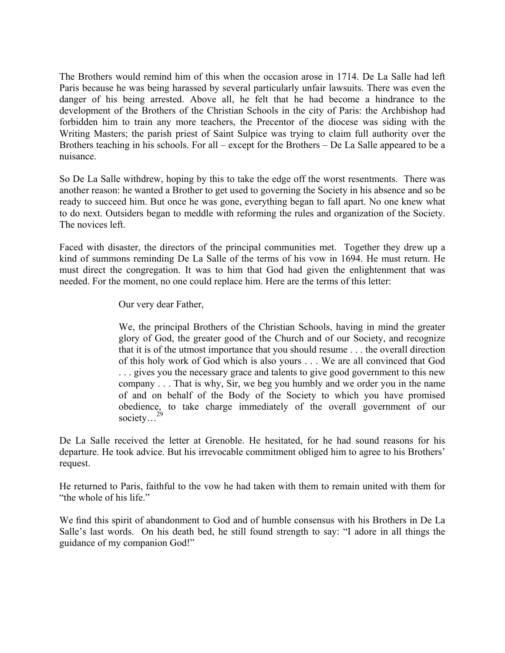The Brothers would remind him of this when the occasion arose in 1714. De La Salle had left Paris because he was being harassed by several particularly unfair lawsuits. There was even the danger of his being arrested. Above all, he felt that he had become a hindrance to the development of the Brothers of the Christian Schools in the city of Paris: the Archbishop had forbidden him to train any more teachers, the Precentor of the diocese was siding with the Writing Masters; the parish priest of Saint Sulpice was trying to claim full authority over the Brothers teaching in his schools. For all – except for the Brothers – De La Salle appeared to be a nuisance.

So De La Salle withdrew, hoping by this to take the edge off the worst resentments. There was another reason: he wanted a Brother to get used to governing the Society in his absence and so be ready to succeed him. But once he was gone, everything began to fall apart. No one knew what to do next. Outsiders began to meddle with reforming the rules and organization of the Society. The novices left.

Faced with disaster, the directors of the principal communities met. Together they drew up a kind of summons reminding De La Salle of the terms of his vow in 1694. He must return. He must direct the congregation. It was to him that God had given the enlightenment that was needed. For the moment, no one could replace him. Here are the terms of this letter:

Our very dear Father,

We, the principal Brothers of the Christian Schools, having in mind the greater glory of God, the greater good of the Church and of our Society, and recognize that it is of the utmost importance that you should resume . . . the overall direction of this holy work of God which is also yours . . . We are all convinced that God . . . gives you the necessary grace and talents to give good government to this new company . . . That is why, Sir, we beg you humbly and we order you in the name of and on behalf of the Body of the Society to which you have promised obedience, to take charge immediately of the overall government of our society...<sup>29</sup>

De La Salle received the letter at Grenoble. He hesitated, for he had sound reasons for his departure. He took advice. But his irrevocable commitment obliged him to agree to his Brothers' request.

He returned to Paris, faithful to the vow he had taken with them to remain united with them for "the whole of his life."

We find this spirit of abandonment to God and of humble consensus with his Brothers in De La Salle's last words. On his death bed, he still found strength to say: "I adore in all things the guidance of my companion God!"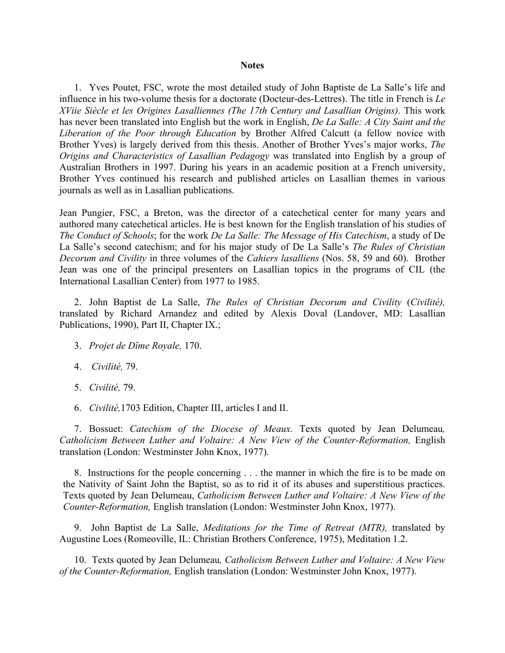#### **Notes**

1. Yves Poutet, FSC, wrote the most detailed study of John Baptiste de La Salle's life and influence in his two-volume thesis for a doctorate (Docteur-des-Lettres). The title in French is *Le XViie Siècle et les Origines Lasalliennes (The 17th Century and Lasallian Origins)*. This work has never been translated into English but the work in English, *De La Salle: A City Saint and the Liberation of the Poor through Education* by Brother Alfred Calcutt (a fellow novice with Brother Yves) is largely derived from this thesis. Another of Brother Yves's major works, *The Origins and Characteristics of Lasallian Pedagogy* was translated into English by a group of Australian Brothers in 1997. During his years in an academic position at a French university, Brother Yves continued his research and published articles on Lasallian themes in various journals as well as in Lasallian publications.

Jean Pungier, FSC, a Breton, was the director of a catechetical center for many years and authored many catechetical articles. He is best known for the English translation of his studies of *The Conduct of Schools*; for the work *De La Salle: The Message of His Catechism*, a study of De La Salle's second catechism; and for his major study of De La Salle's *The Rules of Christian Decorum and Civility* in three volumes of the *Cahiers lasalliens* (Nos. 58, 59 and 60). Brother Jean was one of the principal presenters on Lasallian topics in the programs of CIL (the International Lasallian Center) from 1977 to 1985.

2. John Baptist de La Salle, *The Rules of Christian Decorum and Civility* (*Civilité),*  translated by Richard Arnandez and edited by Alexis Doval (Landover, MD: Lasallian Publications, 1990), Part II, Chapter IX.;

- 3. *Projet de Dȋme Royale,* 170.
- 4. *Civilité,* 79.
- 5. *Civilité,* 79.
- 6. *Civilité,*1703 Edition, Chapter III, articles I and II.

7. Bossuet: *Catechism of the Diocese of Meaux.* Texts quoted by Jean Delumeau*, Catholicism Between Luther and Voltaire: A New View of the Counter-Reformation, English* translation (London: Westminster John Knox, 1977).

8. Instructions for the people concerning . . . the manner in which the fire is to be made on the Nativity of Saint John the Baptist, so as to rid it of its abuses and superstitious practices. Texts quoted by Jean Delumeau, *Catholicism Between Luther and Voltaire: A New View of the Counter-Reformation,* English translation (London: Westminster John Knox, 1977).

9. John Baptist de La Salle, *Meditations for the Time of Retreat (MTR),* translated by Augustine Loes (Romeoville, IL: Christian Brothers Conference, 1975), Meditation 1.2.

10. Texts quoted by Jean Delumeau*, Catholicism Between Luther and Voltaire: A New View of the Counter-Reformation,* English translation (London: Westminster John Knox, 1977).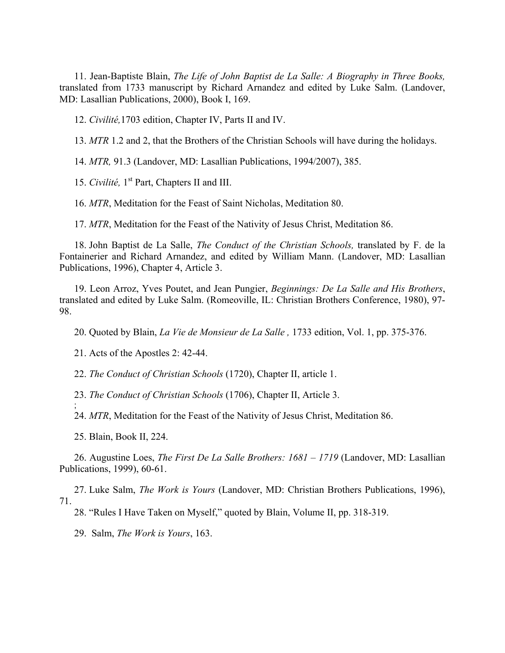11. Jean-Baptiste Blain, *The Life of John Baptist de La Salle: A Biography in Three Books,* translated from 1733 manuscript by Richard Arnandez and edited by Luke Salm. (Landover, MD: Lasallian Publications, 2000), Book I, 169.

12. *Civilité,*1703 edition, Chapter IV, Parts II and IV.

13. *MTR* 1.2 and 2, that the Brothers of the Christian Schools will have during the holidays.

14. *MTR,* 91.3 (Landover, MD: Lasallian Publications, 1994/2007), 385.

15. *Civilité,* 1st Part, Chapters II and III.

16. *MTR*, Meditation for the Feast of Saint Nicholas, Meditation 80.

17. *MTR*, Meditation for the Feast of the Nativity of Jesus Christ, Meditation 86.

18. John Baptist de La Salle, *The Conduct of the Christian Schools,* translated by F. de la Fontainerier and Richard Arnandez, and edited by William Mann. (Landover, MD: Lasallian Publications, 1996), Chapter 4, Article 3.

19. Leon Arroz, Yves Poutet, and Jean Pungier, *Beginnings: De La Salle and His Brothers*, translated and edited by Luke Salm. (Romeoville, IL: Christian Brothers Conference, 1980), 97- 98.

20. Quoted by Blain, *La Vie de Monsieur de La Salle ,* 1733 edition, Vol. 1, pp. 375-376.

21. Acts of the Apostles 2: 42-44.

22. *The Conduct of Christian Schools* (1720), Chapter II, article 1.

23. *The Conduct of Christian Schools* (1706), Chapter II, Article 3.

24. *MTR*, Meditation for the Feast of the Nativity of Jesus Christ, Meditation 86.

25. Blain, Book II, 224.

;

26. Augustine Loes, *The First De La Salle Brothers: 1681 – 1719* (Landover, MD: Lasallian Publications, 1999), 60-61.

27. Luke Salm, *The Work is Yours* (Landover, MD: Christian Brothers Publications, 1996), 71.

28. "Rules I Have Taken on Myself," quoted by Blain, Volume II, pp. 318-319.

29. Salm, *The Work is Yours*, 163.